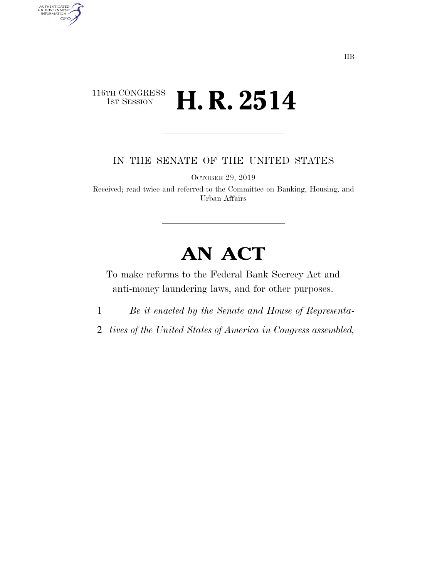## 116TH CONGRESS<br>1st Session **H. R. 2514**

AUTHENTICATED<br>U.S. GOVERNMENT<br>INFORMATION GPO

IN THE SENATE OF THE UNITED STATES

OCTOBER 29, 2019

Received; read twice and referred to the Committee on Banking, Housing, and Urban Affairs

# **AN ACT**

To make reforms to the Federal Bank Secrecy Act and anti-money laundering laws, and for other purposes.

- 1 *Be it enacted by the Senate and House of Representa-*
- 2 *tives of the United States of America in Congress assembled,*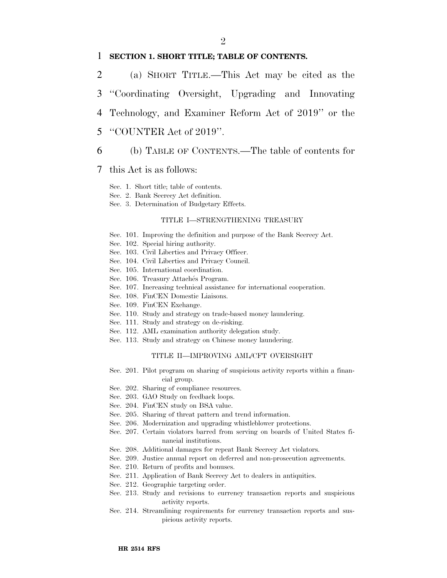#### $\mathfrak{D}$

### 1 **SECTION 1. SHORT TITLE; TABLE OF CONTENTS.**

- 2 (a) SHORT TITLE.—This Act may be cited as the 3 ''Coordinating Oversight, Upgrading and Innovating
- 4 Technology, and Examiner Reform Act of 2019'' or the
- 5 ''COUNTER Act of 2019''.
- 6 (b) TABLE OF CONTENTS.—The table of contents for

### 7 this Act is as follows:

- Sec. 1. Short title; table of contents.
- Sec. 2. Bank Secrecy Act definition.
- Sec. 3. Determination of Budgetary Effects.

#### TITLE I—STRENGTHENING TREASURY

- Sec. 101. Improving the definition and purpose of the Bank Secrecy Act.
- Sec. 102. Special hiring authority.
- Sec. 103. Civil Liberties and Privacy Officer.
- Sec. 104. Civil Liberties and Privacy Council.
- Sec. 105. International coordination.
- Sec. 106. Treasury Attachés Program.
- Sec. 107. Increasing technical assistance for international cooperation.
- Sec. 108. FinCEN Domestic Liaisons.
- Sec. 109. FinCEN Exchange.
- Sec. 110. Study and strategy on trade-based money laundering.
- Sec. 111. Study and strategy on de-risking.
- Sec. 112. AML examination authority delegation study.
- Sec. 113. Study and strategy on Chinese money laundering.

#### TITLE II—IMPROVING AML/CFT OVERSIGHT

- Sec. 201. Pilot program on sharing of suspicious activity reports within a financial group.
- Sec. 202. Sharing of compliance resources.
- Sec. 203. GAO Study on feedback loops.
- Sec. 204. FinCEN study on BSA value.
- Sec. 205. Sharing of threat pattern and trend information.
- Sec. 206. Modernization and upgrading whistleblower protections.
- Sec. 207. Certain violators barred from serving on boards of United States financial institutions.
- Sec. 208. Additional damages for repeat Bank Secrecy Act violators.
- Sec. 209. Justice annual report on deferred and non-prosecution agreements.
- Sec. 210. Return of profits and bonuses.
- Sec. 211. Application of Bank Secrecy Act to dealers in antiquities.
- Sec. 212. Geographic targeting order.
- Sec. 213. Study and revisions to currency transaction reports and suspicious activity reports.
- Sec. 214. Streamlining requirements for currency transaction reports and suspicious activity reports.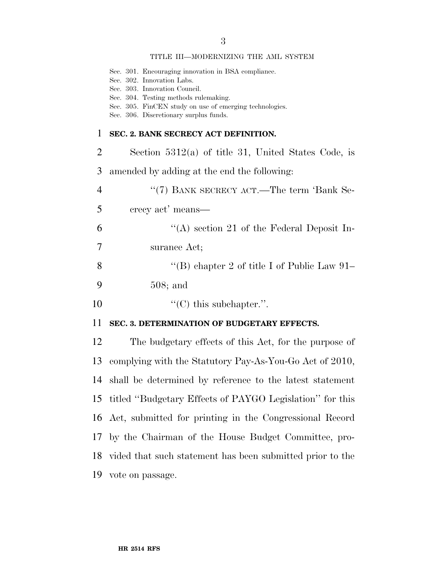#### TITLE III—MODERNIZING THE AML SYSTEM

|    | Sec. 301. Encouraging innovation in BSA compliance.<br>Sec. 302. Innovation Labs.<br>Sec. 303. Innovation Council.<br>Sec. 304. Testing methods rulemaking.<br>Sec. 305. FinCEN study on use of emerging technologies.<br>Sec. 306. Discretionary surplus funds. |
|----|------------------------------------------------------------------------------------------------------------------------------------------------------------------------------------------------------------------------------------------------------------------|
| 1  | SEC. 2. BANK SECRECY ACT DEFINITION.                                                                                                                                                                                                                             |
| 2  | Section $5312(a)$ of title 31, United States Code, is                                                                                                                                                                                                            |
| 3  | amended by adding at the end the following:                                                                                                                                                                                                                      |
| 4  | "(7) BANK SECRECY ACT.—The term 'Bank Se-                                                                                                                                                                                                                        |
| 5  | crecy act' means—                                                                                                                                                                                                                                                |
| 6  | "(A) section 21 of the Federal Deposit In-                                                                                                                                                                                                                       |
| 7  | surance Act;                                                                                                                                                                                                                                                     |
| 8  | "(B) chapter 2 of title I of Public Law 91-                                                                                                                                                                                                                      |
| 9  | $508;$ and                                                                                                                                                                                                                                                       |
| 10 | $\lq\lq$ (C) this subchapter.".                                                                                                                                                                                                                                  |

### **SEC. 3. DETERMINATION OF BUDGETARY EFFECTS.**

 The budgetary effects of this Act, for the purpose of complying with the Statutory Pay-As-You-Go Act of 2010, shall be determined by reference to the latest statement titled ''Budgetary Effects of PAYGO Legislation'' for this Act, submitted for printing in the Congressional Record by the Chairman of the House Budget Committee, pro- vided that such statement has been submitted prior to the vote on passage.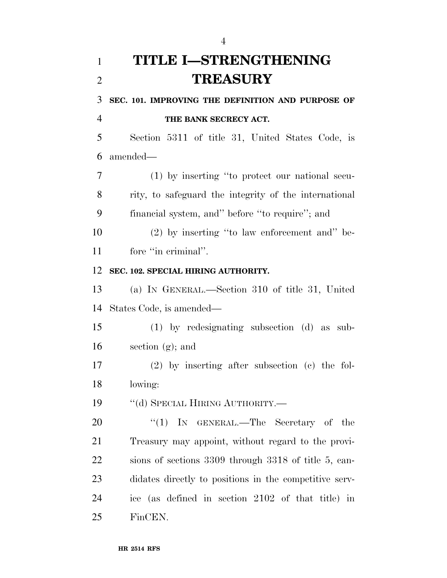# **TITLE I—STRENGTHENING TREASURY**

 **SEC. 101. IMPROVING THE DEFINITION AND PURPOSE OF THE BANK SECRECY ACT.** 

 Section 5311 of title 31, United States Code, is amended—

 (1) by inserting ''to protect our national secu- rity, to safeguard the integrity of the international financial system, and'' before ''to require''; and

 (2) by inserting ''to law enforcement and'' be-11 fore "in criminal".

## **SEC. 102. SPECIAL HIRING AUTHORITY.**

 (a) IN GENERAL.—Section 310 of title 31, United States Code, is amended—

 (1) by redesignating subsection (d) as sub-section (g); and

 (2) by inserting after subsection (c) the fol-lowing:

19 "(d) SPECIAL HIRING AUTHORITY.—

 $\text{``(1)}$  In GENERAL.—The Secretary of the Treasury may appoint, without regard to the provi- sions of sections 3309 through 3318 of title 5, can- didates directly to positions in the competitive serv- ice (as defined in section 2102 of that title) in FinCEN.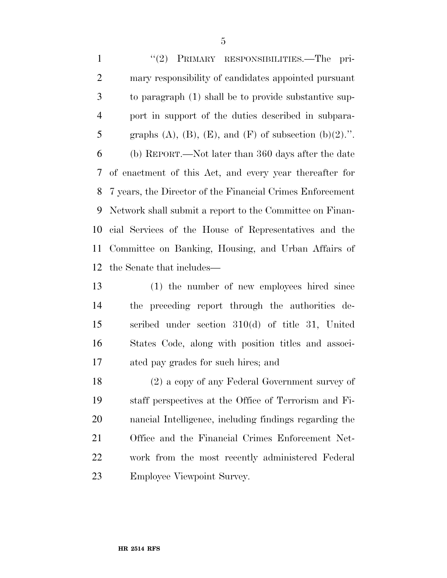''(2) PRIMARY RESPONSIBILITIES.—The pri- mary responsibility of candidates appointed pursuant to paragraph (1) shall be to provide substantive sup- port in support of the duties described in subpara-5 graphs  $(A)$ ,  $(B)$ ,  $(E)$ , and  $(F)$  of subsection  $(b)(2)$ .". (b) REPORT.—Not later than 360 days after the date of enactment of this Act, and every year thereafter for 7 years, the Director of the Financial Crimes Enforcement Network shall submit a report to the Committee on Finan- cial Services of the House of Representatives and the Committee on Banking, Housing, and Urban Affairs of the Senate that includes—

 (1) the number of new employees hired since the preceding report through the authorities de- scribed under section 310(d) of title 31, United States Code, along with position titles and associ-ated pay grades for such hires; and

 (2) a copy of any Federal Government survey of staff perspectives at the Office of Terrorism and Fi- nancial Intelligence, including findings regarding the Office and the Financial Crimes Enforcement Net- work from the most recently administered Federal Employee Viewpoint Survey.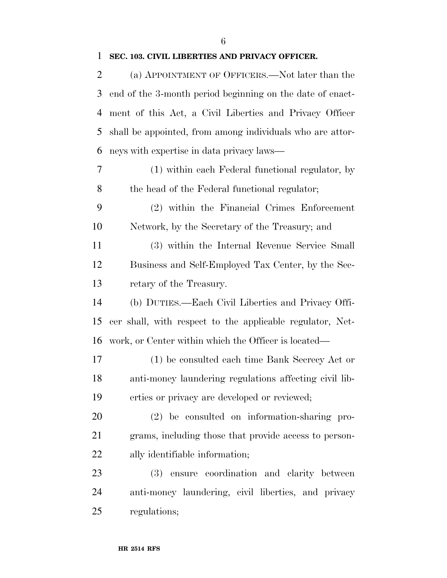### **SEC. 103. CIVIL LIBERTIES AND PRIVACY OFFICER.**

 (a) APPOINTMENT OF OFFICERS.—Not later than the end of the 3-month period beginning on the date of enact- ment of this Act, a Civil Liberties and Privacy Officer shall be appointed, from among individuals who are attor-neys with expertise in data privacy laws—

 (1) within each Federal functional regulator, by the head of the Federal functional regulator;

 (2) within the Financial Crimes Enforcement Network, by the Secretary of the Treasury; and

 (3) within the Internal Revenue Service Small Business and Self-Employed Tax Center, by the Sec-retary of the Treasury.

 (b) DUTIES.—Each Civil Liberties and Privacy Offi- cer shall, with respect to the applicable regulator, Net-work, or Center within which the Officer is located—

 (1) be consulted each time Bank Secrecy Act or anti-money laundering regulations affecting civil lib-erties or privacy are developed or reviewed;

 (2) be consulted on information-sharing pro- grams, including those that provide access to person-ally identifiable information;

 (3) ensure coordination and clarity between anti-money laundering, civil liberties, and privacy regulations;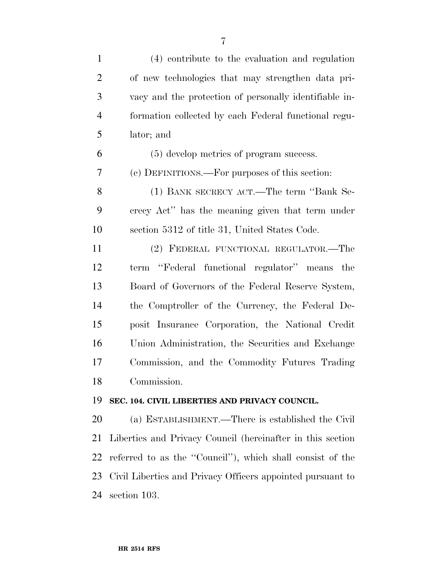| $\mathbf{1}$   | (4) contribute to the evaluation and regulation            |
|----------------|------------------------------------------------------------|
| $\overline{2}$ | of new technologies that may strengthen data pri-          |
| 3              | vacy and the protection of personally identifiable in-     |
| $\overline{4}$ | formation collected by each Federal functional regu-       |
| 5              | lator; and                                                 |
| 6              | (5) develop metrics of program success.                    |
| 7              | (c) DEFINITIONS.—For purposes of this section:             |
| 8              | (1) BANK SECRECY ACT.—The term "Bank Se-                   |
| 9              | crecy Act" has the meaning given that term under           |
| 10             | section 5312 of title 31, United States Code.              |
| 11             | (2) FEDERAL FUNCTIONAL REGULATOR.-The                      |
| 12             | term "Federal functional regulator" means the              |
| 13             | Board of Governors of the Federal Reserve System,          |
| 14             | the Comptroller of the Currency, the Federal De-           |
| 15             | posit Insurance Corporation, the National Credit           |
| 16             | Union Administration, the Securities and Exchange          |
| 17             | Commission, and the Commodity Futures Trading              |
| 18             | Commission.                                                |
| 19             | SEC. 104. CIVIL LIBERTIES AND PRIVACY COUNCIL.             |
| 20             | (a) ESTABLISHMENT.—There is established the Civil          |
| 21             | Liberties and Privacy Council (hereinafter in this section |
| 22             | referred to as the "Council"), which shall consist of the  |
| 23             | Civil Liberties and Privacy Officers appointed pursuant to |
| 24             | section 103.                                               |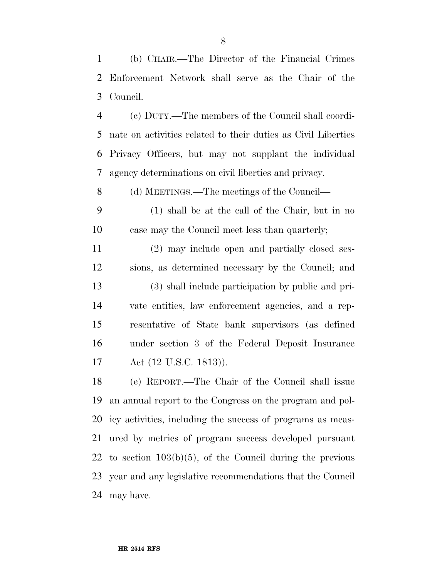(b) CHAIR.—The Director of the Financial Crimes Enforcement Network shall serve as the Chair of the Council.

 (c) DUTY.—The members of the Council shall coordi- nate on activities related to their duties as Civil Liberties Privacy Officers, but may not supplant the individual agency determinations on civil liberties and privacy.

(d) MEETINGS.—The meetings of the Council—

 (1) shall be at the call of the Chair, but in no case may the Council meet less than quarterly;

 (2) may include open and partially closed ses- sions, as determined necessary by the Council; and (3) shall include participation by public and pri- vate entities, law enforcement agencies, and a rep- resentative of State bank supervisors (as defined under section 3 of the Federal Deposit Insurance Act (12 U.S.C. 1813)).

 (e) REPORT.—The Chair of the Council shall issue an annual report to the Congress on the program and pol- icy activities, including the success of programs as meas- ured by metrics of program success developed pursuant to section 103(b)(5), of the Council during the previous year and any legislative recommendations that the Council may have.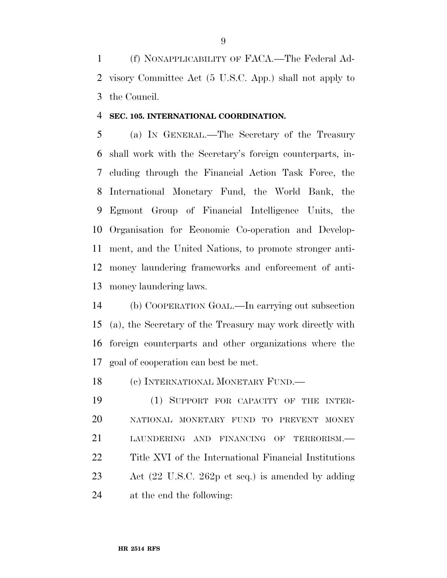(f) NONAPPLICABILITY OF FACA.—The Federal Ad- visory Committee Act (5 U.S.C. App.) shall not apply to the Council.

### **SEC. 105. INTERNATIONAL COORDINATION.**

 (a) IN GENERAL.—The Secretary of the Treasury shall work with the Secretary's foreign counterparts, in- cluding through the Financial Action Task Force, the International Monetary Fund, the World Bank, the Egmont Group of Financial Intelligence Units, the Organisation for Economic Co-operation and Develop- ment, and the United Nations, to promote stronger anti- money laundering frameworks and enforcement of anti-money laundering laws.

 (b) COOPERATION GOAL.—In carrying out subsection (a), the Secretary of the Treasury may work directly with foreign counterparts and other organizations where the goal of cooperation can best be met.

18 (c) INTERNATIONAL MONETARY FUND.—

 (1) SUPPORT FOR CAPACITY OF THE INTER- NATIONAL MONETARY FUND TO PREVENT MONEY LAUNDERING AND FINANCING OF TERRORISM.— Title XVI of the International Financial Institutions Act (22 U.S.C. 262p et seq.) is amended by adding at the end the following: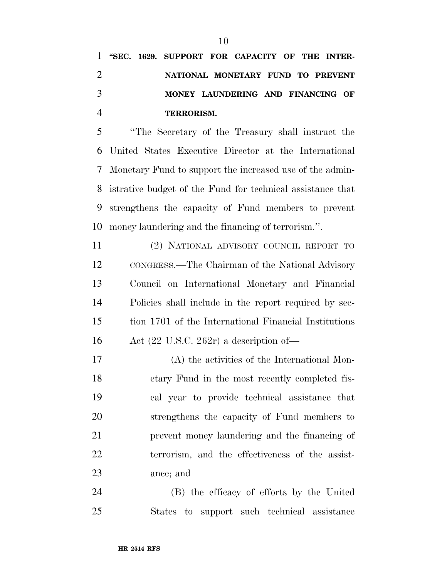''The Secretary of the Treasury shall instruct the United States Executive Director at the International Monetary Fund to support the increased use of the admin- istrative budget of the Fund for technical assistance that strengthens the capacity of Fund members to prevent money laundering and the financing of terrorism.''.

 (2) NATIONAL ADVISORY COUNCIL REPORT TO CONGRESS.—The Chairman of the National Advisory Council on International Monetary and Financial Policies shall include in the report required by sec- tion 1701 of the International Financial Institutions Act (22 U.S.C. 262r) a description of—

 (A) the activities of the International Mon- etary Fund in the most recently completed fis- cal year to provide technical assistance that strengthens the capacity of Fund members to prevent money laundering and the financing of terrorism, and the effectiveness of the assist-ance; and

 (B) the efficacy of efforts by the United States to support such technical assistance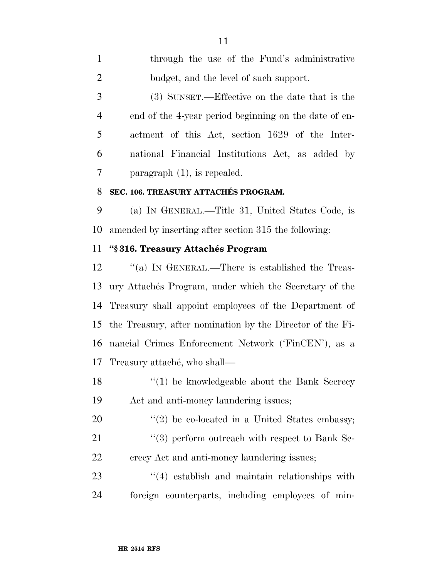| $\mathbf{1}$   | through the use of the Fund's administrative               |
|----------------|------------------------------------------------------------|
| $\overline{2}$ | budget, and the level of such support.                     |
| 3              | (3) SUNSET.—Effective on the date that is the              |
| 4              | end of the 4-year period beginning on the date of en-      |
| 5              | actment of this Act, section 1629 of the Inter-            |
| 6              | national Financial Institutions Act, as added by           |
| 7              | paragraph $(1)$ , is repealed.                             |
| 8              | SEC. 106. TREASURY ATTACHÉS PROGRAM.                       |
| 9              | (a) IN GENERAL.—Title 31, United States Code, is           |
| 10             | amended by inserting after section 315 the following:      |
| 11             | "§316. Treasury Attachés Program                           |
| 12             | "(a) IN GENERAL.—There is established the Treas-           |
| 13             | ury Attachés Program, under which the Secretary of the     |
| 14             | Treasury shall appoint employees of the Department of      |
| 15             | the Treasury, after nomination by the Director of the Fi-  |
| 16             | nancial Crimes Enforcement Network ('FinCEN'), as a        |
| 17             | Treasury attaché, who shall—                               |
| 18             | $\lq(1)$ be knowledgeable about the Bank Secrecy           |
| 19             | Act and anti-money laundering issues;                      |
| 20             | $\lq(2)$ be co-located in a United States embassy;         |
| 21             | $\cdot\cdot$ (3) perform outreach with respect to Bank Se- |

crecy Act and anti-money laundering issues;

23 ''(4) establish and maintain relationships with foreign counterparts, including employees of min-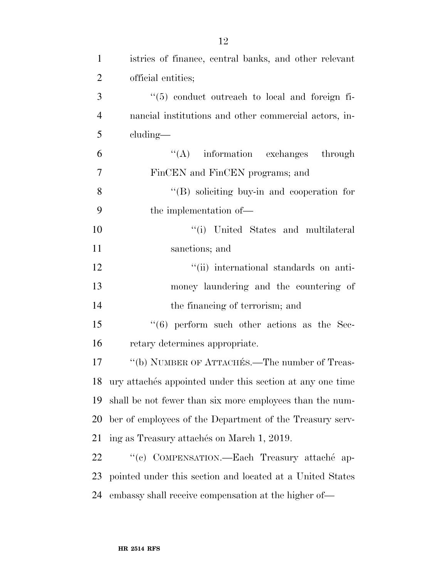| $\mathbf{1}$   | istries of finance, central banks, and other relevant        |
|----------------|--------------------------------------------------------------|
| $\overline{2}$ | official entities;                                           |
| 3              | $\lq(5)$ conduct outreach to local and foreign fi-           |
| $\overline{4}$ | nancial institutions and other commercial actors, in-        |
| 5              | $cluding$ —                                                  |
| 6              | $\lq\lq$ information exchanges through                       |
| $\overline{7}$ | FinCEN and FinCEN programs; and                              |
| 8              | $\lq\lq(B)$ soliciting buy-in and cooperation for            |
| 9              | the implementation of—                                       |
| 10             | "(i) United States and multilateral                          |
| 11             | sanctions; and                                               |
| 12             | "(ii) international standards on anti-                       |
| 13             | money laundering and the countering of                       |
| 14             | the financing of terrorism; and                              |
| 15             | $((6)$ perform such other actions as the Sec-                |
| 16             | retary determines appropriate.                               |
| 17             | "(b) NUMBER OF ATTACHES.—The number of Treas-                |
|                | 18 ury attachés appointed under this section at any one time |
| 19             | shall be not fewer than six more employees than the num-     |
| 20             | ber of employees of the Department of the Treasury serv-     |
| 21             | ing as Treasury attachés on March 1, 2019.                   |
| 22             | "(c) COMPENSATION.—Each Treasury attaché ap-                 |
| 23             | pointed under this section and located at a United States    |
| 24             | embassy shall receive compensation at the higher of-         |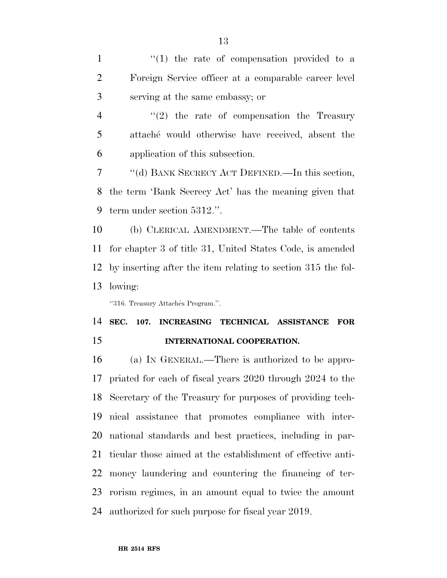1 ''(1) the rate of compensation provided to a Foreign Service officer at a comparable career level serving at the same embassy; or

4 "(2) the rate of compensation the Treasury 5 attache<sup>\*</sup> would otherwise have received, absent the application of this subsection.

 ''(d) BANK SECRECY ACT DEFINED.—In this section, the term 'Bank Secrecy Act' has the meaning given that term under section 5312.''.

 (b) CLERICAL AMENDMENT.—The table of contents for chapter 3 of title 31, United States Code, is amended by inserting after the item relating to section 315 the fol-lowing:

"316. Treasury Attachés Program.".

 **SEC. 107. INCREASING TECHNICAL ASSISTANCE FOR INTERNATIONAL COOPERATION.** 

 (a) IN GENERAL.—There is authorized to be appro- priated for each of fiscal years 2020 through 2024 to the Secretary of the Treasury for purposes of providing tech- nical assistance that promotes compliance with inter- national standards and best practices, including in par- ticular those aimed at the establishment of effective anti- money laundering and countering the financing of ter- rorism regimes, in an amount equal to twice the amount authorized for such purpose for fiscal year 2019.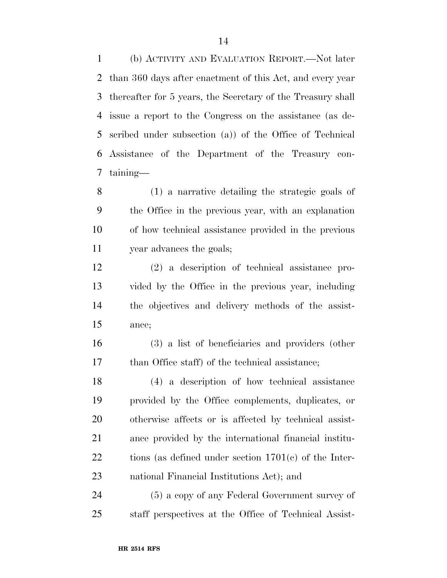(b) ACTIVITY AND EVALUATION REPORT.—Not later than 360 days after enactment of this Act, and every year thereafter for 5 years, the Secretary of the Treasury shall issue a report to the Congress on the assistance (as de- scribed under subsection (a)) of the Office of Technical Assistance of the Department of the Treasury con-taining—

 (1) a narrative detailing the strategic goals of the Office in the previous year, with an explanation of how technical assistance provided in the previous year advances the goals;

 (2) a description of technical assistance pro- vided by the Office in the previous year, including the objectives and delivery methods of the assist-ance;

 (3) a list of beneficiaries and providers (other 17 than Office staff) of the technical assistance;

 (4) a description of how technical assistance provided by the Office complements, duplicates, or otherwise affects or is affected by technical assist- ance provided by the international financial institu-22 tions (as defined under section 1701(c) of the Inter-national Financial Institutions Act); and

 (5) a copy of any Federal Government survey of staff perspectives at the Office of Technical Assist-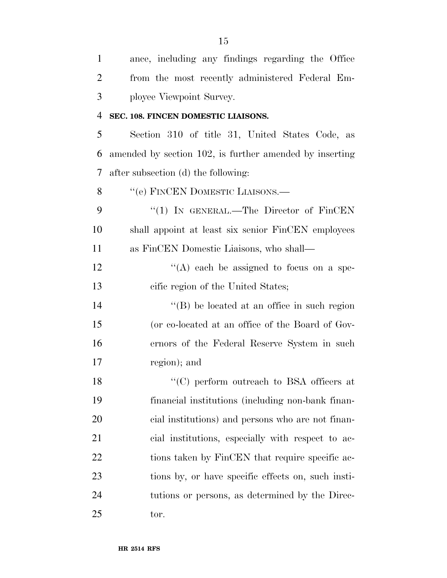| $\mathbf{1}$   | ance, including any findings regarding the Office       |
|----------------|---------------------------------------------------------|
| $\overline{2}$ | from the most recently administered Federal Em-         |
| 3              | ployee Viewpoint Survey.                                |
| 4              | SEC. 108. FINCEN DOMESTIC LIAISONS.                     |
| 5              | Section 310 of title 31, United States Code, as         |
| 6              | amended by section 102, is further amended by inserting |
| 7              | after subsection (d) the following:                     |
| 8              | "(e) FINCEN DOMESTIC LIAISONS.—                         |
| 9              | "(1) IN GENERAL.—The Director of $\text{FinCEN}$        |
| 10             | shall appoint at least six senior FinCEN employees      |
| 11             | as FinCEN Domestic Liaisons, who shall—                 |
| 12             | "(A) each be assigned to focus on a spe-                |
| 13             | cific region of the United States;                      |
| 14             | $\lq\lq (B)$ be located at an office in such region     |
| 15             | (or co-located at an office of the Board of Gov-        |
| 16             | ernors of the Federal Reserve System in such            |
| 17             | region); and                                            |
| 18             | "(C) perform outreach to BSA officers at                |
| 19             | financial institutions (including non-bank finan-       |
| 20             | cial institutions) and persons who are not finan-       |
| 21             | cial institutions, especially with respect to ac-       |
| 22             | tions taken by FinCEN that require specific ac-         |
| 23             | tions by, or have specific effects on, such insti-      |
| 24             | tutions or persons, as determined by the Direc-         |
| 25             | tor.                                                    |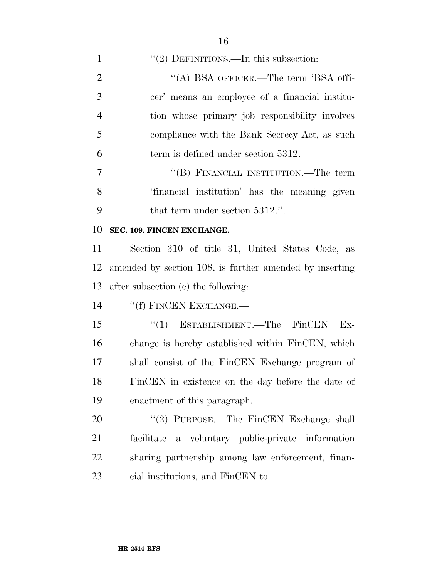| $\mathbf{1}$   | "(2) DEFINITIONS.—In this subsection:                   |
|----------------|---------------------------------------------------------|
| $\overline{2}$ | "(A) BSA OFFICER.—The term 'BSA offi-                   |
| 3              | cer' means an employee of a financial institu-          |
| $\overline{4}$ | tion whose primary job responsibility involves          |
| 5              | compliance with the Bank Secrecy Act, as such           |
| 6              | term is defined under section 5312.                     |
| $\overline{7}$ | "(B) FINANCIAL INSTITUTION.—The term                    |
| 8              | 'financial institution' has the meaning given           |
| 9              | that term under section 5312.".                         |
| 10             | SEC. 109. FINCEN EXCHANGE.                              |
| 11             | Section 310 of title 31, United States Code, as         |
| 12             | amended by section 108, is further amended by inserting |
| 13             | after subsection (e) the following:                     |
| 14             | "(f) FINCEN EXCHANGE.—                                  |
| 15             | ESTABLISHMENT.-The FinCEN<br>``(1)<br>$Ex-$             |
| 16             | change is hereby established within FinCEN, which       |
| 17             | shall consist of the FinCEN Exchange program of         |
| 18             | FinCEN in existence on the day before the date of       |
| 19             | enactment of this paragraph.                            |
| 20             | "(2) PURPOSE.—The FinCEN Exchange shall                 |
| 21             | a voluntary public-private information<br>facilitate    |
| 22             | sharing partnership among law enforcement, finan-       |
|                |                                                         |

cial institutions, and FinCEN to—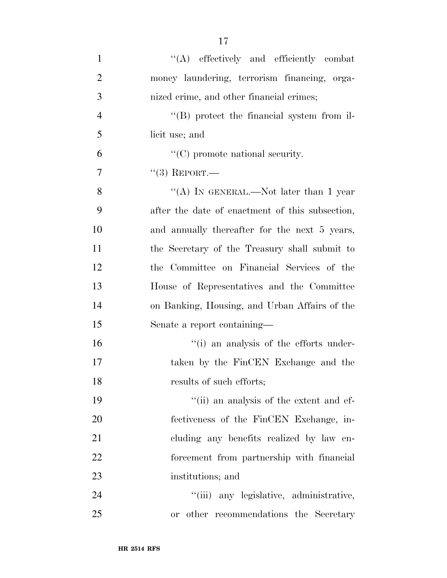| $\mathbf{1}$   | "(A) effectively and efficiently combat            |
|----------------|----------------------------------------------------|
| $\overline{2}$ | money laundering, terrorism financing, orga-       |
| 3              | nized crime, and other financial crimes;           |
| $\overline{4}$ | $\lq\lq (B)$ protect the financial system from il- |
| 5              | licit use; and                                     |
| 6              | $\lq\lq$ (C) promote national security.            |
| 7              | $``(3)$ REPORT.—                                   |
| 8              | "(A) IN GENERAL.—Not later than 1 year             |
| 9              | after the date of enactment of this subsection,    |
| 10             | and annually thereafter for the next 5 years,      |
| 11             | the Secretary of the Treasury shall submit to      |
| 12             | the Committee on Financial Services of the         |
| 13             | House of Representatives and the Committee         |
| 14             | on Banking, Housing, and Urban Affairs of the      |
| 15             | Senate a report containing—                        |
| 16             | "(i) an analysis of the efforts under-             |
| 17             | taken by the FinCEN Exchange and the               |
| 18             | results of such efforts;                           |
| 19             | "(ii) an analysis of the extent and ef-            |
| 20             | fectiveness of the FinCEN Exchange, in-            |
| 21             | cluding any benefits realized by law en-           |
| 22             | forcement from partnership with financial          |
| 23             | institutions; and                                  |
| 24             | "(iii) any legislative, administrative,            |
| 25             | or other recommendations the Secretary             |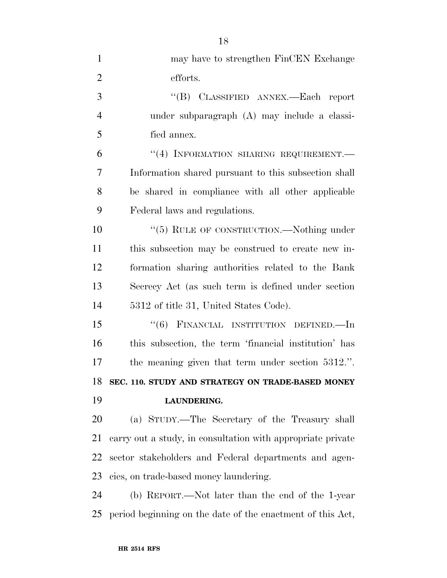| $\mathbf{1}$   | may have to strengthen FinCEN Exchange                      |
|----------------|-------------------------------------------------------------|
| $\overline{2}$ | efforts.                                                    |
| 3              | "(B) CLASSIFIED ANNEX.—Each report                          |
| $\overline{4}$ | under subparagraph (A) may include a classi-                |
| 5              | fied annex.                                                 |
| 6              | "(4) INFORMATION SHARING REQUIREMENT.-                      |
| $\overline{7}$ | Information shared pursuant to this subsection shall        |
| 8              | be shared in compliance with all other applicable           |
| 9              | Federal laws and regulations.                               |
| 10             | "(5) RULE OF CONSTRUCTION.—Nothing under                    |
| 11             | this subsection may be construed to create new in-          |
| 12             | formation sharing authorities related to the Bank           |
| 13             | Secrecy Act (as such term is defined under section          |
| 14             | 5312 of title 31, United States Code).                      |
| 15             | FINANCIAL INSTITUTION DEFINED.—In<br>(6)                    |
| 16             | this subsection, the term 'financial institution' has       |
| 17             | the meaning given that term under section 5312.".           |
|                | 18 SEC. 110. STUDY AND STRATEGY ON TRADE-BASED MONEY        |
| 19             | LAUNDERING.                                                 |
| 20             | (a) STUDY.—The Secretary of the Treasury shall              |
| 21             | carry out a study, in consultation with appropriate private |
| 22             | sector stakeholders and Federal departments and agen-       |
| 23             | cies, on trade-based money laundering.                      |
| 24             | (b) REPORT.—Not later than the end of the 1-year            |
|                |                                                             |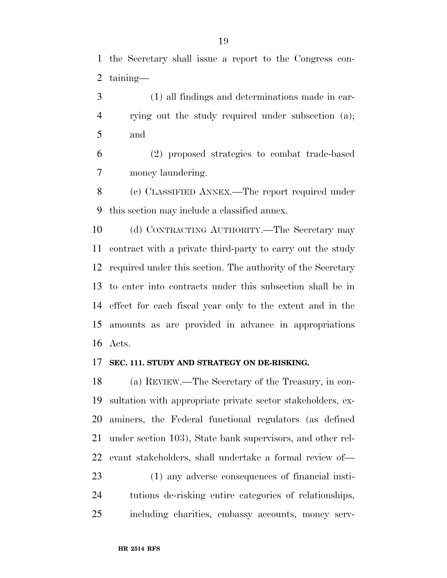the Secretary shall issue a report to the Congress con-taining—

 (1) all findings and determinations made in car- rying out the study required under subsection (a); and

 (2) proposed strategies to combat trade-based money laundering.

 (c) CLASSIFIED ANNEX.—The report required under this section may include a classified annex.

 (d) CONTRACTING AUTHORITY.—The Secretary may contract with a private third-party to carry out the study required under this section. The authority of the Secretary to enter into contracts under this subsection shall be in effect for each fiscal year only to the extent and in the amounts as are provided in advance in appropriations Acts.

### **SEC. 111. STUDY AND STRATEGY ON DE-RISKING.**

 (a) REVIEW.—The Secretary of the Treasury, in con- sultation with appropriate private sector stakeholders, ex- aminers, the Federal functional regulators (as defined under section 103), State bank supervisors, and other rel-evant stakeholders, shall undertake a formal review of—

 (1) any adverse consequences of financial insti- tutions de-risking entire categories of relationships, including charities, embassy accounts, money serv-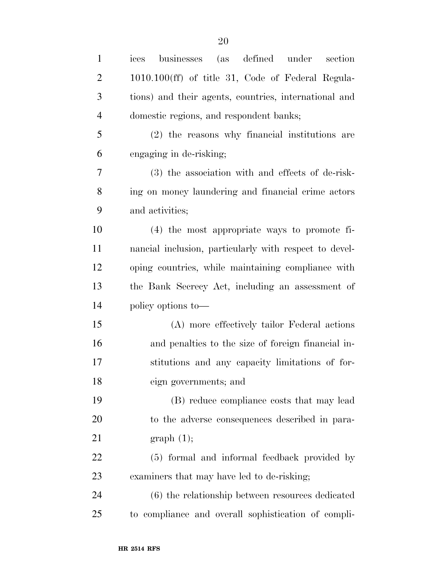| $\mathbf{1}$   | defined<br>businesses (as<br>under<br>section<br>ices  |
|----------------|--------------------------------------------------------|
| $\overline{2}$ | 1010.100(ff) of title 31, Code of Federal Regula-      |
| 3              | tions) and their agents, countries, international and  |
| $\overline{4}$ | domestic regions, and respondent banks;                |
| 5              | (2) the reasons why financial institutions are         |
| 6              | engaging in de-risking;                                |
| 7              | (3) the association with and effects of de-risk-       |
| 8              | ing on money laundering and financial crime actors     |
| 9              | and activities;                                        |
| 10             | $(4)$ the most appropriate ways to promote fi-         |
| 11             | nancial inclusion, particularly with respect to devel- |
| 12             | oping countries, while maintaining compliance with     |
| 13             | the Bank Secrecy Act, including an assessment of       |
| 14             | policy options to-                                     |
| 15             | (A) more effectively tailor Federal actions            |
| 16             | and penalties to the size of foreign financial in-     |
| 17             | stitutions and any capacity limitations of for-        |
| 18             | eign governments; and                                  |
| 19             | (B) reduce compliance costs that may lead              |
| 20             | to the adverse consequences described in para-         |
| 21             | graph(1);                                              |
| 22             | (5) formal and informal feedback provided by           |
| 23             | examiners that may have led to de-risking;             |
| 24             | (6) the relationship between resources dedicated       |
| 25             | to compliance and overall sophistication of compli-    |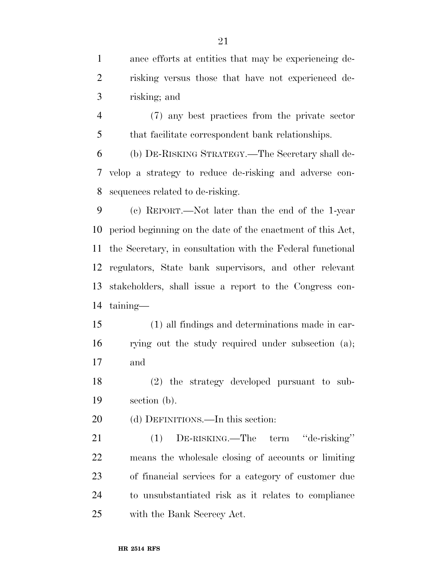ance efforts at entities that may be experiencing de- risking versus those that have not experienced de-risking; and

 (7) any best practices from the private sector that facilitate correspondent bank relationships.

 (b) DE-RISKING STRATEGY.—The Secretary shall de- velop a strategy to reduce de-risking and adverse con-sequences related to de-risking.

 (c) REPORT.—Not later than the end of the 1-year period beginning on the date of the enactment of this Act, the Secretary, in consultation with the Federal functional regulators, State bank supervisors, and other relevant stakeholders, shall issue a report to the Congress con-taining—

 (1) all findings and determinations made in car- rying out the study required under subsection (a); and

 (2) the strategy developed pursuant to sub-section (b).

(d) DEFINITIONS.—In this section:

 (1) DE-RISKING.—The term ''de-risking'' means the wholesale closing of accounts or limiting of financial services for a category of customer due to unsubstantiated risk as it relates to compliance with the Bank Secrecy Act.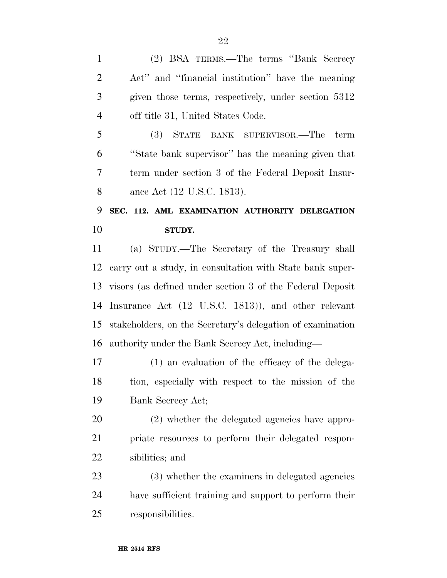(2) BSA TERMS.—The terms ''Bank Secrecy Act'' and ''financial institution'' have the meaning given those terms, respectively, under section 5312 off title 31, United States Code.

 (3) STATE BANK SUPERVISOR.—The term ''State bank supervisor'' has the meaning given that term under section 3 of the Federal Deposit Insur-ance Act (12 U.S.C. 1813).

# **SEC. 112. AML EXAMINATION AUTHORITY DELEGATION STUDY.**

 (a) STUDY.—The Secretary of the Treasury shall carry out a study, in consultation with State bank super- visors (as defined under section 3 of the Federal Deposit Insurance Act (12 U.S.C. 1813)), and other relevant stakeholders, on the Secretary's delegation of examination authority under the Bank Secrecy Act, including—

 (1) an evaluation of the efficacy of the delega- tion, especially with respect to the mission of the Bank Secrecy Act;

 (2) whether the delegated agencies have appro- priate resources to perform their delegated respon-sibilities; and

 (3) whether the examiners in delegated agencies have sufficient training and support to perform their responsibilities.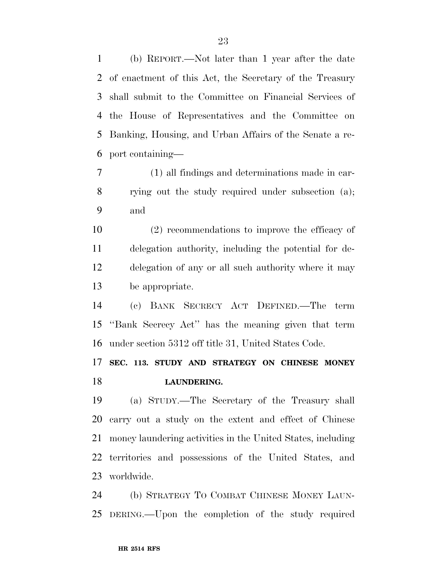(b) REPORT.—Not later than 1 year after the date of enactment of this Act, the Secretary of the Treasury shall submit to the Committee on Financial Services of the House of Representatives and the Committee on Banking, Housing, and Urban Affairs of the Senate a re-port containing—

 (1) all findings and determinations made in car- rying out the study required under subsection (a); and

 (2) recommendations to improve the efficacy of delegation authority, including the potential for de- delegation of any or all such authority where it may be appropriate.

 (c) BANK SECRECY ACT DEFINED.—The term ''Bank Secrecy Act'' has the meaning given that term under section 5312 off title 31, United States Code.

 **SEC. 113. STUDY AND STRATEGY ON CHINESE MONEY LAUNDERING.** 

 (a) STUDY.—The Secretary of the Treasury shall carry out a study on the extent and effect of Chinese money laundering activities in the United States, including territories and possessions of the United States, and worldwide.

 (b) STRATEGY TO COMBAT CHINESE MONEY LAUN-DERING.—Upon the completion of the study required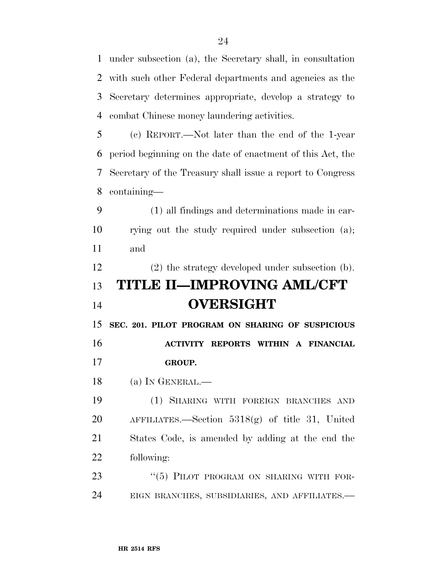under subsection (a), the Secretary shall, in consultation with such other Federal departments and agencies as the Secretary determines appropriate, develop a strategy to combat Chinese money laundering activities. (c) REPORT.—Not later than the end of the 1-year

 period beginning on the date of enactment of this Act, the Secretary of the Treasury shall issue a report to Congress containing—

 (1) all findings and determinations made in car- rying out the study required under subsection (a); and

(2) the strategy developed under subsection (b).

# **TITLE II—IMPROVING AML/CFT OVERSIGHT**

 **SEC. 201. PILOT PROGRAM ON SHARING OF SUSPICIOUS ACTIVITY REPORTS WITHIN A FINANCIAL GROUP.** 

(a) IN GENERAL.—

 (1) SHARING WITH FOREIGN BRANCHES AND AFFILIATES.—Section 5318(g) of title 31, United States Code, is amended by adding at the end the following:

23 "(5) PILOT PROGRAM ON SHARING WITH FOR-EIGN BRANCHES, SUBSIDIARIES, AND AFFILIATES.—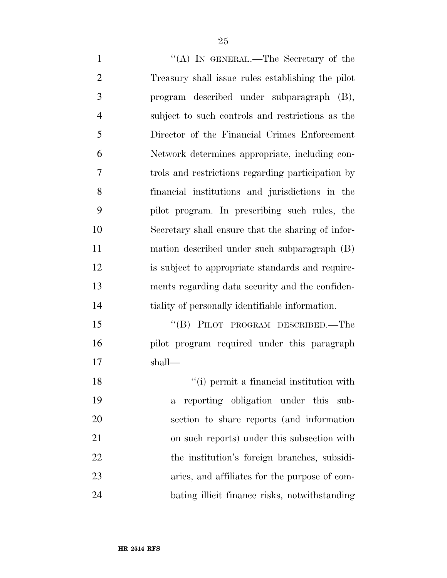1 "(A) In GENERAL.—The Secretary of the Treasury shall issue rules establishing the pilot program described under subparagraph (B), subject to such controls and restrictions as the Director of the Financial Crimes Enforcement Network determines appropriate, including con- trols and restrictions regarding participation by financial institutions and jurisdictions in the pilot program. In prescribing such rules, the Secretary shall ensure that the sharing of infor- mation described under such subparagraph (B) is subject to appropriate standards and require- ments regarding data security and the confiden-tiality of personally identifiable information.

15 "(B) PILOT PROGRAM DESCRIBED.—The pilot program required under this paragraph shall—

18 ''(i) permit a financial institution with a reporting obligation under this sub- section to share reports (and information on such reports) under this subsection with the institution's foreign branches, subsidi- aries, and affiliates for the purpose of com-bating illicit finance risks, notwithstanding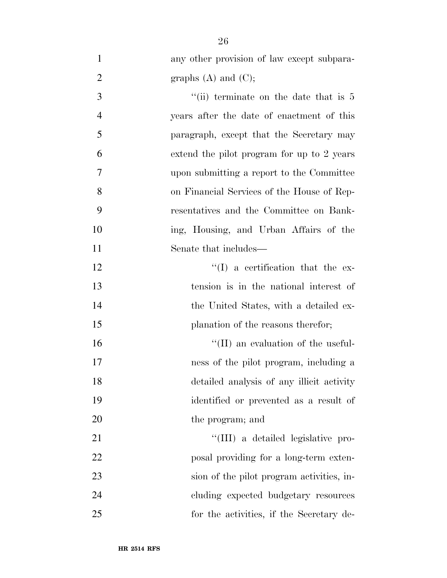| $\mathbf{1}$   | any other provision of law except subpara- |
|----------------|--------------------------------------------|
| $\overline{c}$ | graphs $(A)$ and $(C)$ ;                   |
| $\overline{3}$ | "(ii) terminate on the date that is $5$    |
| $\overline{4}$ | years after the date of enactment of this  |
| 5              | paragraph, except that the Secretary may   |
| 6              | extend the pilot program for up to 2 years |
| 7              | upon submitting a report to the Committee  |
| 8              | on Financial Services of the House of Rep- |
| 9              | resentatives and the Committee on Bank-    |
| 10             | ing, Housing, and Urban Affairs of the     |
| 11             | Senate that includes—                      |
| 12             | $\lq\lq$ a certification that the ex-      |
| 13             | tension is in the national interest of     |
| 14             | the United States, with a detailed ex-     |
| 15             | planation of the reasons therefor;         |
| 16             | $\lq\lq$ (II) an evaluation of the useful- |
| 17             | ness of the pilot program, including a     |
| 18             | detailed analysis of any illicit activity  |
| 19             | identified or prevented as a result of     |
| 20             | the program; and                           |
| 21             | "(III) a detailed legislative pro-         |
| 22             | posal providing for a long-term exten-     |
| 23             | sion of the pilot program activities, in-  |
| 24             | cluding expected budgetary resources       |
| 25             | for the activities, if the Secretary de-   |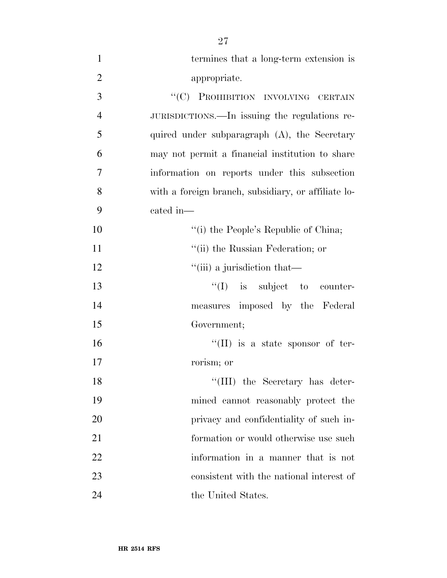| $\mathbf{1}$   | termines that a long-term extension is              |
|----------------|-----------------------------------------------------|
| $\overline{2}$ | appropriate.                                        |
| 3              | "(C) PROHIBITION INVOLVING CERTAIN                  |
| $\overline{4}$ | JURISDICTIONS.—In issuing the regulations re-       |
| 5              | quired under subparagraph $(A)$ , the Secretary     |
| 6              | may not permit a financial institution to share     |
| $\overline{7}$ | information on reports under this subsection        |
| 8              | with a foreign branch, subsidiary, or affiliate lo- |
| 9              | cated in-                                           |
| 10             | "(i) the People's Republic of China;                |
| 11             | "(ii) the Russian Federation; or                    |
| 12             | "(iii) a jurisdiction that—                         |
| 13             | $\lq\lq$ is subject to counter-                     |
| 14             | measures imposed by the Federal                     |
| 15             | Government;                                         |
| 16             | "(II) is a state sponsor of ter-                    |
| 17             | rorism; or                                          |
| 18             | "(III) the Secretary has deter-                     |
| 19             | mined cannot reasonably protect the                 |
| 20             | privacy and confidentiality of such in-             |
| 21             | formation or would otherwise use such               |
| 22             | information in a manner that is not                 |
| 23             | consistent with the national interest of            |
| 24             | the United States.                                  |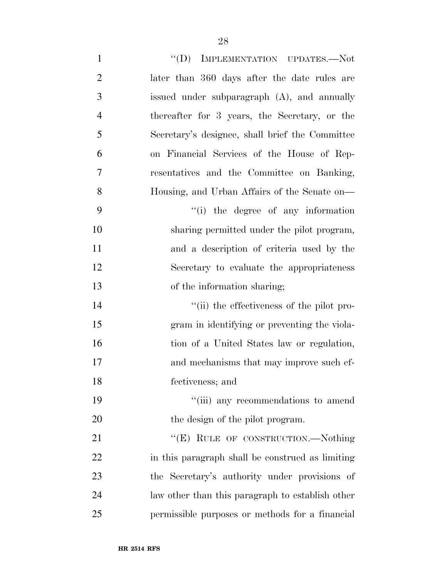| $\mathbf{1}$   | "(D) IMPLEMENTATION UPDATES.—Not                 |
|----------------|--------------------------------------------------|
| $\overline{2}$ | later than 360 days after the date rules are     |
| 3              | issued under subparagraph (A), and annually      |
| $\overline{4}$ | thereafter for 3 years, the Secretary, or the    |
| 5              | Secretary's designee, shall brief the Committee  |
| 6              | on Financial Services of the House of Rep-       |
| 7              | resentatives and the Committee on Banking,       |
| 8              | Housing, and Urban Affairs of the Senate on—     |
| 9              | "(i) the degree of any information               |
| 10             | sharing permitted under the pilot program,       |
| 11             | and a description of criteria used by the        |
| 12             | Secretary to evaluate the appropriateness        |
| 13             | of the information sharing;                      |
| 14             | "(ii) the effectiveness of the pilot pro-        |
| 15             | gram in identifying or preventing the viola-     |
| 16             | tion of a United States law or regulation,       |
| 17             | and mechanisms that may improve such ef-         |
| 18             | fectiveness; and                                 |
| 19             | "(iii) any recommendations to amend              |
| 20             | the design of the pilot program.                 |
| 21             | "(E) RULE OF CONSTRUCTION.--Nothing              |
| 22             | in this paragraph shall be construed as limiting |
| 23             | the Secretary's authority under provisions of    |
| 24             | law other than this paragraph to establish other |
| 25             | permissible purposes or methods for a financial  |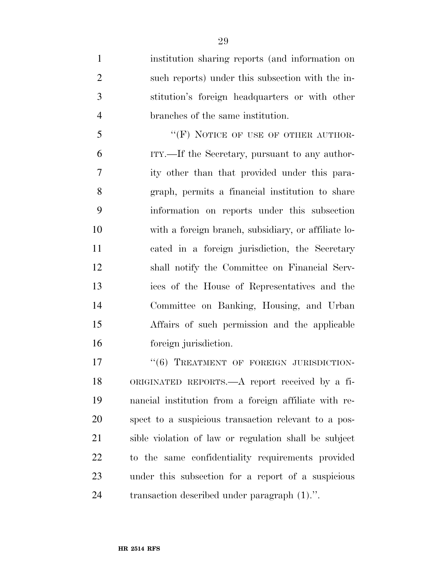institution sharing reports (and information on such reports) under this subsection with the in- stitution's foreign headquarters or with other branches of the same institution.

5 "'(F) NOTICE OF USE OF OTHER AUTHOR- ITY.—If the Secretary, pursuant to any author- ity other than that provided under this para- graph, permits a financial institution to share information on reports under this subsection with a foreign branch, subsidiary, or affiliate lo- cated in a foreign jurisdiction, the Secretary shall notify the Committee on Financial Serv- ices of the House of Representatives and the Committee on Banking, Housing, and Urban Affairs of such permission and the applicable foreign jurisdiction.

17 "(6) TREATMENT OF FOREIGN JURISDICTION- ORIGINATED REPORTS.—A report received by a fi- nancial institution from a foreign affiliate with re- spect to a suspicious transaction relevant to a pos- sible violation of law or regulation shall be subject to the same confidentiality requirements provided under this subsection for a report of a suspicious transaction described under paragraph (1).''.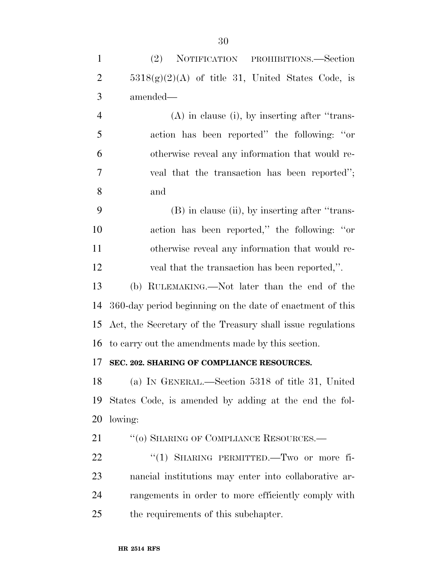| $\mathbf{1}$   | NOTIFICATION PROHIBITIONS.—Section<br>(2)                  |
|----------------|------------------------------------------------------------|
| $\overline{2}$ | $5318(g)(2)(A)$ of title 31, United States Code, is        |
| 3              | amended—                                                   |
| $\overline{4}$ | $(A)$ in clause (i), by inserting after "trans-            |
| 5              | action has been reported" the following: "or               |
| 6              | otherwise reveal any information that would re-            |
| $\overline{7}$ | veal that the transaction has been reported";              |
| 8              | and                                                        |
| 9              | (B) in clause (ii), by inserting after "trans-             |
| 10             | action has been reported," the following: "or              |
| 11             | otherwise reveal any information that would re-            |
| 12             | veal that the transaction has been reported,".             |
| 13             | (b) RULEMAKING.—Not later than the end of the              |
| 14             | 360-day period beginning on the date of enactment of this  |
| 15             | Act, the Secretary of the Treasury shall issue regulations |
| 16             | to carry out the amendments made by this section.          |
| 17             | SEC. 202. SHARING OF COMPLIANCE RESOURCES.                 |
|                | 18 (a) IN GENERAL.—Section 5318 of title 31, United        |
| 19             | States Code, is amended by adding at the end the fol-      |
| 20             | lowing:                                                    |
| 21             | "(o) SHARING OF COMPLIANCE RESOURCES.-                     |
| 22             | "(1) SHARING PERMITTED. Two or more fi-                    |
| 23             | nancial institutions may enter into collaborative ar-      |
| 24             | rangements in order to more efficiently comply with        |
| 25             | the requirements of this subchapter.                       |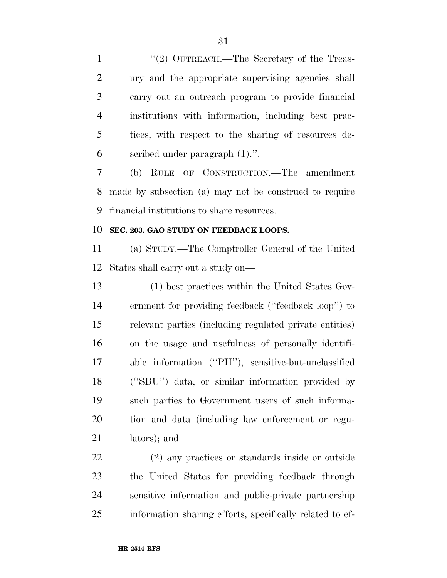1 "(2) OUTREACH.—The Secretary of the Treas- ury and the appropriate supervising agencies shall carry out an outreach program to provide financial institutions with information, including best prac- tices, with respect to the sharing of resources de-scribed under paragraph (1).''.

 (b) RULE OF CONSTRUCTION.—The amendment made by subsection (a) may not be construed to require financial institutions to share resources.

### **SEC. 203. GAO STUDY ON FEEDBACK LOOPS.**

 (a) STUDY.—The Comptroller General of the United States shall carry out a study on—

 (1) best practices within the United States Gov- ernment for providing feedback (''feedback loop'') to relevant parties (including regulated private entities) on the usage and usefulness of personally identifi- able information (''PII''), sensitive-but-unclassified (''SBU'') data, or similar information provided by such parties to Government users of such informa- tion and data (including law enforcement or regu-lators); and

 (2) any practices or standards inside or outside the United States for providing feedback through sensitive information and public-private partnership information sharing efforts, specifically related to ef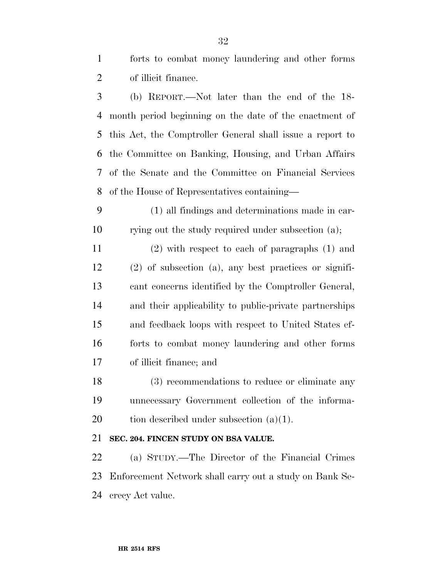forts to combat money laundering and other forms of illicit finance.

 (b) REPORT.—Not later than the end of the 18- month period beginning on the date of the enactment of this Act, the Comptroller General shall issue a report to the Committee on Banking, Housing, and Urban Affairs of the Senate and the Committee on Financial Services of the House of Representatives containing—

 (1) all findings and determinations made in car-rying out the study required under subsection (a);

 (2) with respect to each of paragraphs (1) and (2) of subsection (a), any best practices or signifi- cant concerns identified by the Comptroller General, and their applicability to public-private partnerships and feedback loops with respect to United States ef- forts to combat money laundering and other forms of illicit finance; and

 (3) recommendations to reduce or eliminate any unnecessary Government collection of the informa-20 tion described under subsection  $(a)(1)$ .

## **SEC. 204. FINCEN STUDY ON BSA VALUE.**

 (a) STUDY.—The Director of the Financial Crimes Enforcement Network shall carry out a study on Bank Se-crecy Act value.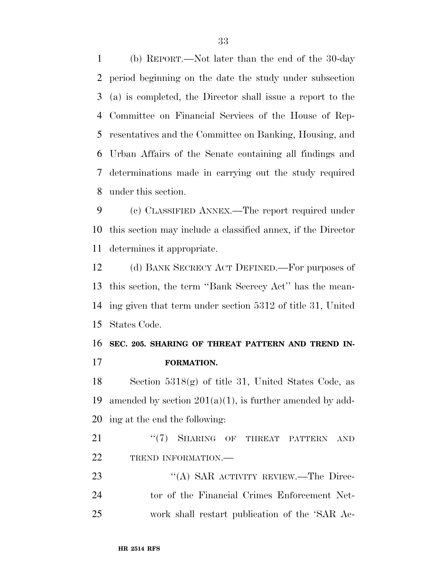(b) REPORT.—Not later than the end of the 30-day period beginning on the date the study under subsection (a) is completed, the Director shall issue a report to the Committee on Financial Services of the House of Rep- resentatives and the Committee on Banking, Housing, and Urban Affairs of the Senate containing all findings and determinations made in carrying out the study required under this section.

 (c) CLASSIFIED ANNEX.—The report required under this section may include a classified annex, if the Director determines it appropriate.

 (d) BANK SECRECY ACT DEFINED.—For purposes of this section, the term ''Bank Secrecy Act'' has the mean- ing given that term under section 5312 of title 31, United States Code.

# **SEC. 205. SHARING OF THREAT PATTERN AND TREND IN-FORMATION.**

 Section 5318(g) of title 31, United States Code, as 19 amended by section  $201(a)(1)$ , is further amended by add-ing at the end the following:

21 "(7) SHARING OF THREAT PATTERN AND 22 TREND INFORMATION.—

23 "(A) SAR ACTIVITY REVIEW.—The Direc- tor of the Financial Crimes Enforcement Net-work shall restart publication of the 'SAR Ac-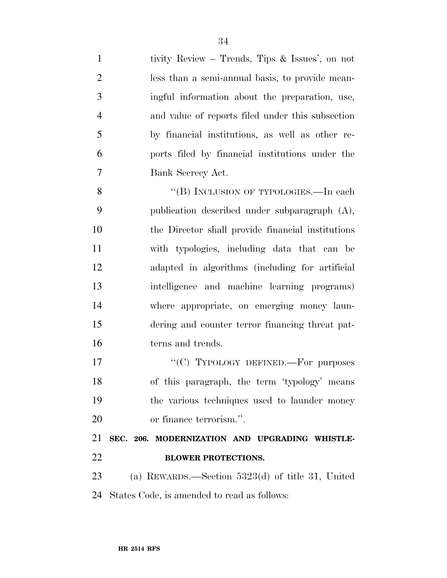| $\mathbf{1}$   | tivity Review – Trends, Tips & Issues', on not     |
|----------------|----------------------------------------------------|
| $\overline{2}$ | less than a semi-annual basis, to provide mean-    |
| 3              | ingful information about the preparation, use,     |
| $\overline{4}$ | and value of reports filed under this subsection   |
| 5              | by financial institutions, as well as other re-    |
| 6              | ports filed by financial institutions under the    |
| $\overline{7}$ | Bank Secrecy Act.                                  |
| 8              | "(B) INCLUSION OF TYPOLOGIES.—In each              |
| 9              | publication described under subparagraph (A),      |
| 10             | the Director shall provide financial institutions  |
| 11             | with typologies, including data that can be        |
| 12             | adapted in algorithms (including for artificial    |
| 13             | intelligence and machine learning programs)        |
| 14             | where appropriate, on emerging money laun-         |
| 15             | dering and counter terror financing threat pat-    |
| 16             | terns and trends.                                  |
| 17             | "(C) TYPOLOGY DEFINED.—For purposes                |
| 18             | of this paragraph, the term 'typology' means       |
| 19             | the various techniques used to launder money       |
| 20             | or finance terrorism.".                            |
| 21             | SEC. 206. MODERNIZATION AND UPGRADING WHISTLE-     |
| 22             | <b>BLOWER PROTECTIONS.</b>                         |
| 23             | (a) REWARDS.—Section $5323(d)$ of title 31, United |
| 24             | States Code, is amended to read as follows:        |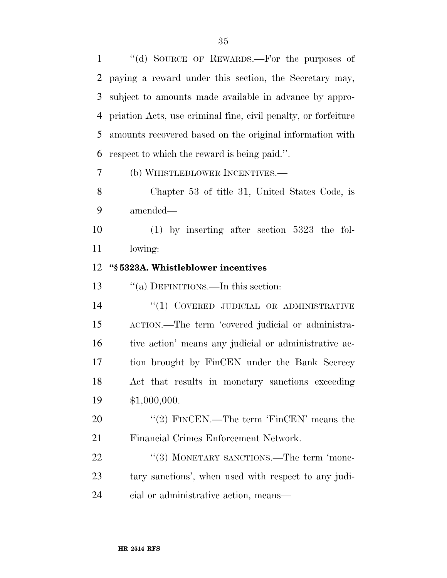''(d) SOURCE OF REWARDS.—For the purposes of paying a reward under this section, the Secretary may, subject to amounts made available in advance by appro- priation Acts, use criminal fine, civil penalty, or forfeiture amounts recovered based on the original information with respect to which the reward is being paid.''.

(b) WHISTLEBLOWER INCENTIVES.—

 Chapter 53 of title 31, United States Code, is amended—

 (1) by inserting after section 5323 the fol-lowing:

## **''§ 5323A. Whistleblower incentives**

''(a) DEFINITIONS.—In this section:

14 "(1) COVERED JUDICIAL OR ADMINISTRATIVE ACTION.—The term 'covered judicial or administra-16 tive action' means any judicial or administrative ac- tion brought by FinCEN under the Bank Secrecy Act that results in monetary sanctions exceeding \$1,000,000.

20 "'(2) FINCEN.—The term 'FinCEN' means the Financial Crimes Enforcement Network.

22 "(3) MONETARY SANCTIONS.—The term 'mone- tary sanctions', when used with respect to any judi-cial or administrative action, means—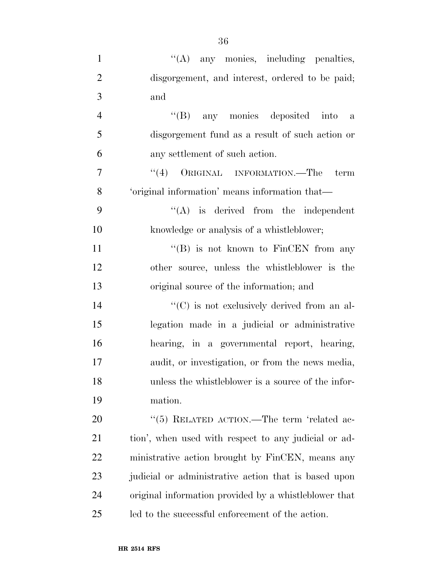| $\mathbf{1}$   | $\lq\lq$ any monies, including penalties,             |
|----------------|-------------------------------------------------------|
| $\overline{2}$ | disgorgement, and interest, ordered to be paid;       |
| 3              | and                                                   |
| $\overline{4}$ | "(B) any monies deposited into a                      |
| 5              | disgorgement fund as a result of such action or       |
| 6              | any settlement of such action.                        |
| 7              | $``(4)$ ORIGINAL INFORMATION.—The term                |
| 8              | 'original information' means information that-        |
| 9              | $\lq\lq$ is derived from the independent              |
| 10             | knowledge or analysis of a whistleblower;             |
| 11             | "(B) is not known to FinCEN from any                  |
| 12             | other source, unless the whistleblower is the         |
| 13             | original source of the information; and               |
| 14             | $\lq\lq$ (C) is not exclusively derived from an al-   |
| 15             | legation made in a judicial or administrative         |
| 16             | hearing, in a governmental report, hearing,           |
| 17             | audit, or investigation, or from the news media,      |
| 18             | unless the whistleblower is a source of the infor-    |
| 19             | mation.                                               |
| 20             | "(5) RELATED ACTION.—The term 'related ac-            |
| 21             | tion', when used with respect to any judicial or ad-  |
| 22             | ministrative action brought by FinCEN, means any      |
| 23             | judicial or administrative action that is based upon  |
| 24             | original information provided by a whistleblower that |
| 25             | led to the successful enforcement of the action.      |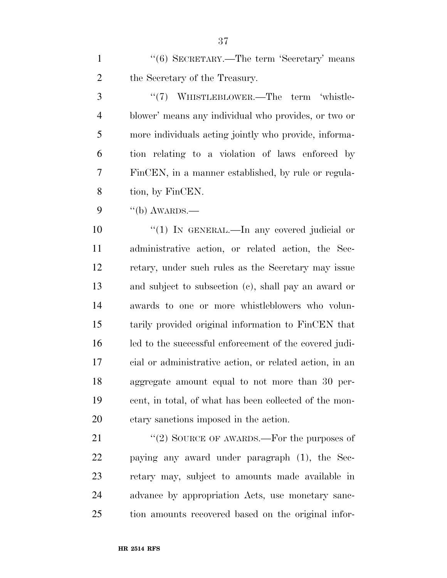1 ''(6) SECRETARY.—The term 'Secretary' means 2 the Secretary of the Treasury.

3 "(7) WHISTLEBLOWER.—The term 'whistle- blower' means any individual who provides, or two or more individuals acting jointly who provide, informa- tion relating to a violation of laws enforced by FinCEN, in a manner established, by rule or regula-tion, by FinCEN.

"(b) AWARDS.—

 $\frac{1}{1}$  IN GENERAL.—In any covered judicial or administrative action, or related action, the Sec- retary, under such rules as the Secretary may issue and subject to subsection (c), shall pay an award or awards to one or more whistleblowers who volun- tarily provided original information to FinCEN that led to the successful enforcement of the covered judi- cial or administrative action, or related action, in an aggregate amount equal to not more than 30 per- cent, in total, of what has been collected of the mon-etary sanctions imposed in the action.

21 "(2) SOURCE OF AWARDS.—For the purposes of paying any award under paragraph (1), the Sec- retary may, subject to amounts made available in advance by appropriation Acts, use monetary sanc-tion amounts recovered based on the original infor-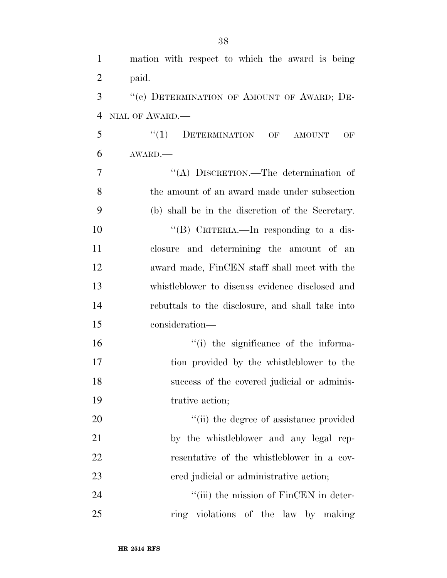| $\mathbf{1}$   | mation with respect to which the award is being  |
|----------------|--------------------------------------------------|
| $\overline{2}$ | paid.                                            |
| 3              | "(c) DETERMINATION OF AMOUNT OF AWARD; DE-       |
| $\overline{4}$ | NIAL OF AWARD.                                   |
| 5              | "(1) DETERMINATION OF AMOUNT<br>OF               |
| 6              | AWARD.                                           |
| 7              | "(A) DISCRETION.—The determination of            |
| 8              | the amount of an award made under subsection     |
| 9              | (b) shall be in the discretion of the Secretary. |
| 10             | "(B) CRITERIA.—In responding to a dis-           |
| 11             | closure and determining the amount of an         |
| 12             | award made, FinCEN staff shall meet with the     |
| 13             | whistleblower to discuss evidence disclosed and  |
| 14             | rebuttals to the disclosure, and shall take into |
| 15             | consideration-                                   |
| 16             | "(i) the significance of the informa-            |
| 17             | tion provided by the whistleblower to the        |
| 18             | success of the covered judicial or adminis-      |
| 19             | trative action;                                  |
| 20             | "(ii) the degree of assistance provided          |
| 21             | by the whistleblower and any legal rep-          |
| 22             | resentative of the whistleblower in a cov-       |
| 23             | ered judicial or administrative action;          |
| 24             | "(iii) the mission of FinCEN in deter-           |
| 25             | ring violations of the law by making             |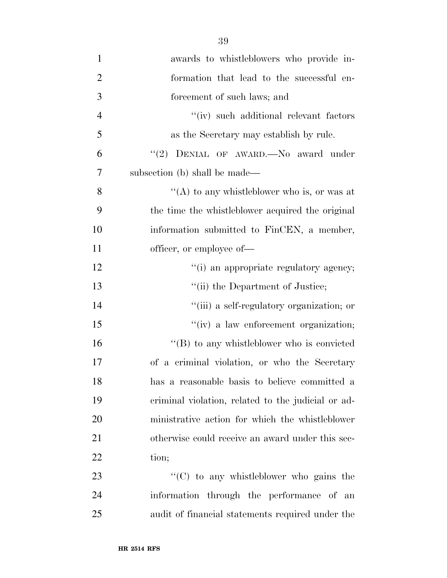| $\mathbf{1}$   | awards to whistleblowers who provide in-               |
|----------------|--------------------------------------------------------|
| $\overline{2}$ | formation that lead to the successful en-              |
| 3              | forcement of such laws; and                            |
| $\overline{4}$ | "(iv) such additional relevant factors                 |
| 5              | as the Secretary may establish by rule.                |
| 6              | "(2) DENIAL OF AWARD. $\longrightarrow$ No award under |
| 7              | subsection (b) shall be made—                          |
| 8              | "(A) to any whistleblower who is, or was at            |
| 9              | the time the whistleblower acquired the original       |
| 10             | information submitted to FinCEN, a member,             |
| 11             | officer, or employee of—                               |
| 12             | "(i) an appropriate regulatory agency;                 |
| 13             | "(ii) the Department of Justice;                       |
| 14             | "(iii) a self-regulatory organization; or              |
| 15             | $``(iv)$ a law enforcement organization;               |
| 16             | $\lq\lq (B)$ to any whistleblower who is convicted     |
| 17             | of a criminal violation, or who the Secretary          |
| 18             | has a reasonable basis to believe committed a          |
| 19             | criminal violation, related to the judicial or ad-     |
| 20             | ministrative action for which the whistleblower        |
| 21             | otherwise could receive an award under this sec-       |
| 22             | tion;                                                  |
| 23             | "(C) to any whistleblower who gains the                |
| 24             | information through the performance of an              |
| 25             | audit of financial statements required under the       |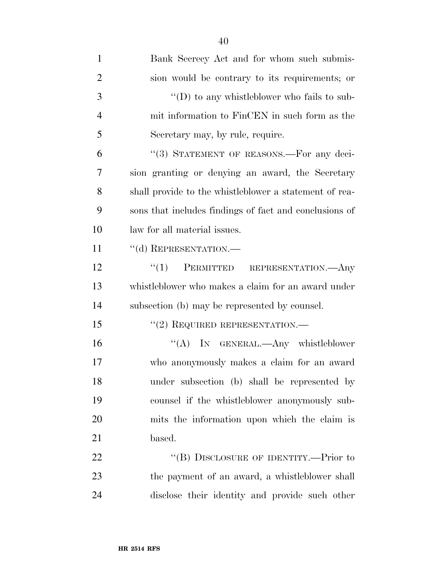| $\mathbf{1}$   | Bank Secrecy Act and for whom such submis-             |
|----------------|--------------------------------------------------------|
| $\overline{2}$ | sion would be contrary to its requirements; or         |
| 3              | $\lq\lq$ to any whistleblower who fails to sub-        |
| $\overline{4}$ | mit information to FinCEN in such form as the          |
| 5              | Secretary may, by rule, require.                       |
| 6              | "(3) STATEMENT OF REASONS.—For any deci-               |
| 7              | sion granting or denying an award, the Secretary       |
| 8              | shall provide to the whistleblower a statement of rea- |
| 9              | sons that includes findings of fact and conclusions of |
| 10             | law for all material issues.                           |
| 11             | "(d) REPRESENTATION.-                                  |
| 12             | ``(1)<br>PERMITTED REPRESENTATION.—Any                 |
| 13             | whistleblower who makes a claim for an award under     |
| 14             | subsection (b) may be represented by counsel.          |
| 15             | $"(2)$ REQUIRED REPRESENTATION.—                       |
| 16             | "(A) IN GENERAL.—Any whistleblower                     |
| 17             | who anonymously makes a claim for an award             |
| 18             | under subsection (b) shall be represented by           |
| 19             | counsel if the whistleblower anonymously sub-          |
| 20             | mits the information upon which the claim is           |
| 21             | based.                                                 |
| 22             | "(B) DISCLOSURE OF IDENTITY.—Prior to                  |
| 23             | the payment of an award, a whistleblower shall         |
| 24             | disclose their identity and provide such other         |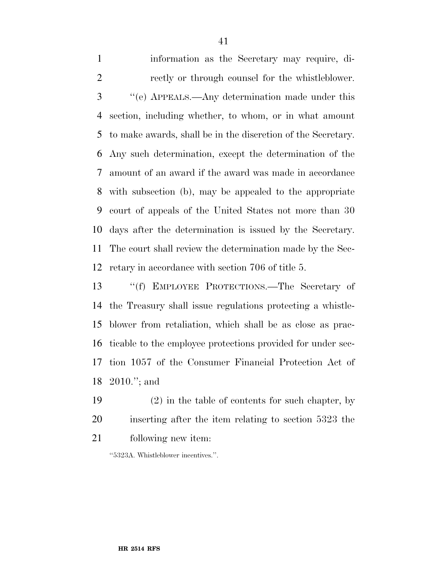information as the Secretary may require, di- rectly or through counsel for the whistleblower. ''(e) APPEALS.—Any determination made under this section, including whether, to whom, or in what amount to make awards, shall be in the discretion of the Secretary. Any such determination, except the determination of the amount of an award if the award was made in accordance with subsection (b), may be appealed to the appropriate court of appeals of the United States not more than 30 days after the determination is issued by the Secretary. The court shall review the determination made by the Sec-retary in accordance with section 706 of title 5.

 ''(f) EMPLOYEE PROTECTIONS.—The Secretary of the Treasury shall issue regulations protecting a whistle- blower from retaliation, which shall be as close as prac- ticable to the employee protections provided for under sec- tion 1057 of the Consumer Financial Protection Act of 2010.''; and

 (2) in the table of contents for such chapter, by inserting after the item relating to section 5323 the following new item:

''5323A. Whistleblower incentives.''.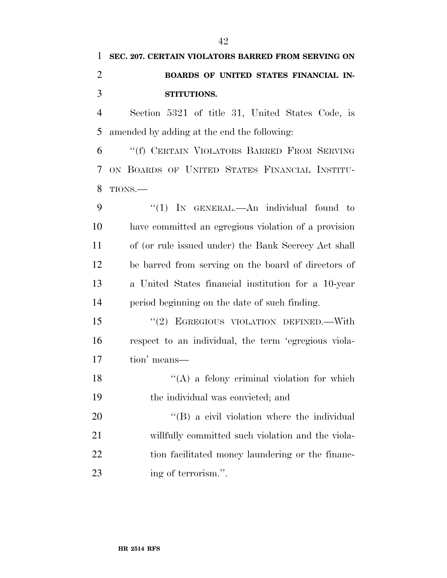Section 5321 of title 31, United States Code, is amended by adding at the end the following:

 ''(f) CERTAIN VIOLATORS BARRED FROM SERVING ON BOARDS OF UNITED STATES FINANCIAL INSTITU-TIONS.—

9 "(1) IN GENERAL.—An individual found to have committed an egregious violation of a provision of (or rule issued under) the Bank Secrecy Act shall be barred from serving on the board of directors of a United States financial institution for a 10-year period beginning on the date of such finding.

 ''(2) EGREGIOUS VIOLATION DEFINED.—With respect to an individual, the term 'egregious viola-tion' means—

 $''(A)$  a felony criminal violation for which the individual was convicted; and

20  $\langle (B)$  a civil violation where the individual willfully committed such violation and the viola-22 tion facilitated money laundering or the financ-23 ing of terrorism.".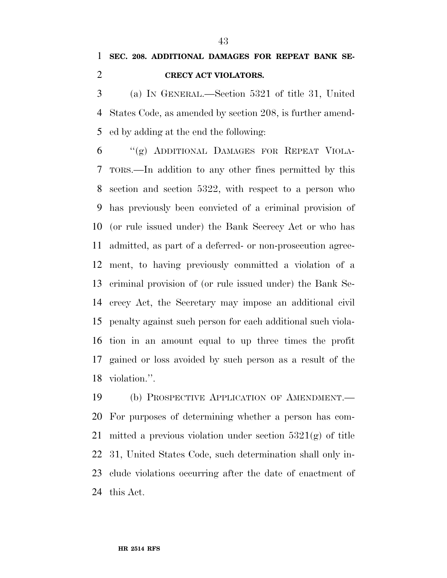(a) IN GENERAL.—Section 5321 of title 31, United States Code, as amended by section 208, is further amend-ed by adding at the end the following:

 ''(g) ADDITIONAL DAMAGES FOR REPEAT VIOLA- TORS.—In addition to any other fines permitted by this section and section 5322, with respect to a person who has previously been convicted of a criminal provision of (or rule issued under) the Bank Secrecy Act or who has admitted, as part of a deferred- or non-prosecution agree- ment, to having previously committed a violation of a criminal provision of (or rule issued under) the Bank Se- crecy Act, the Secretary may impose an additional civil penalty against such person for each additional such viola- tion in an amount equal to up three times the profit gained or loss avoided by such person as a result of the violation.''.

 (b) PROSPECTIVE APPLICATION OF AMENDMENT.— For purposes of determining whether a person has com- mitted a previous violation under section 5321(g) of title 31, United States Code, such determination shall only in- clude violations occurring after the date of enactment of this Act.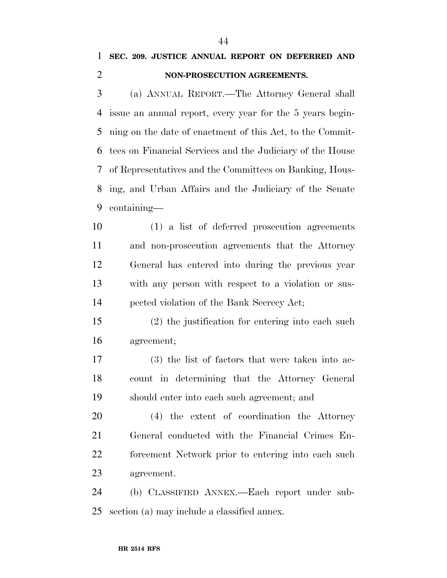# **SEC. 209. JUSTICE ANNUAL REPORT ON DEFERRED AND NON-PROSECUTION AGREEMENTS.**

 (a) ANNUAL REPORT.—The Attorney General shall issue an annual report, every year for the 5 years begin- ning on the date of enactment of this Act, to the Commit- tees on Financial Services and the Judiciary of the House of Representatives and the Committees on Banking, Hous- ing, and Urban Affairs and the Judiciary of the Senate containing—

 (1) a list of deferred prosecution agreements and non-prosecution agreements that the Attorney General has entered into during the previous year with any person with respect to a violation or sus-pected violation of the Bank Secrecy Act;

 (2) the justification for entering into each such agreement;

 (3) the list of factors that were taken into ac- count in determining that the Attorney General should enter into each such agreement; and

 (4) the extent of coordination the Attorney General conducted with the Financial Crimes En- forcement Network prior to entering into each such agreement.

 (b) CLASSIFIED ANNEX.—Each report under sub-section (a) may include a classified annex.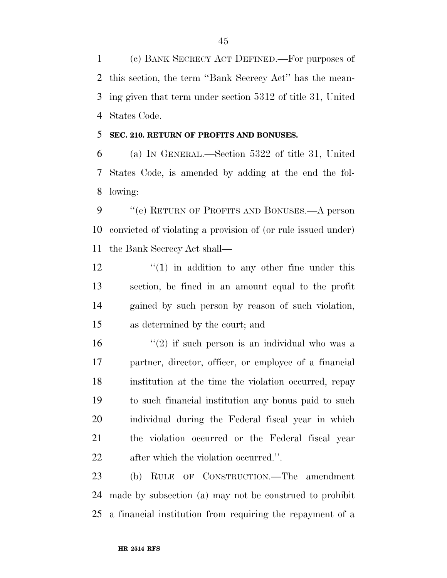(c) BANK SECRECY ACT DEFINED.—For purposes of this section, the term ''Bank Secrecy Act'' has the mean- ing given that term under section 5312 of title 31, United States Code.

### **SEC. 210. RETURN OF PROFITS AND BONUSES.**

 (a) IN GENERAL.—Section 5322 of title 31, United States Code, is amended by adding at the end the fol-lowing:

 ''(e) RETURN OF PROFITS AND BONUSES.—A person convicted of violating a provision of (or rule issued under) the Bank Secrecy Act shall—

 $\frac{12}{2}$  ''(1) in addition to any other fine under this section, be fined in an amount equal to the profit gained by such person by reason of such violation, as determined by the court; and

 $(2)$  if such person is an individual who was a partner, director, officer, or employee of a financial institution at the time the violation occurred, repay to such financial institution any bonus paid to such individual during the Federal fiscal year in which the violation occurred or the Federal fiscal year after which the violation occurred.''.

 (b) RULE OF CONSTRUCTION.—The amendment made by subsection (a) may not be construed to prohibit a financial institution from requiring the repayment of a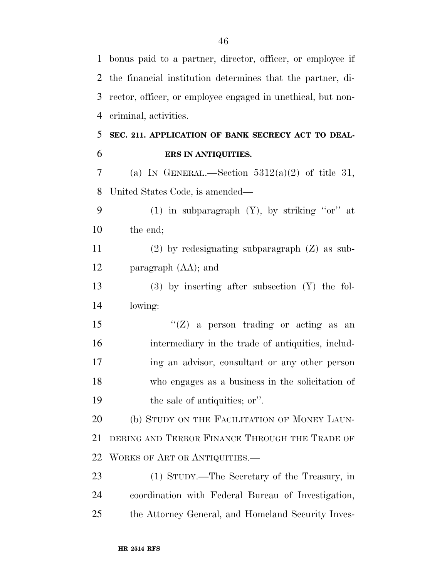| $\mathbf{1}$   | bonus paid to a partner, director, officer, or employee if  |
|----------------|-------------------------------------------------------------|
| 2              | the financial institution determines that the partner, di-  |
| 3              | rector, officer, or employee engaged in unethical, but non- |
| $\overline{4}$ | criminal, activities.                                       |
| 5              | SEC. 211. APPLICATION OF BANK SECRECY ACT TO DEAL-          |
| 6              | ERS IN ANTIQUITIES.                                         |
| 7              | (a) IN GENERAL.—Section $5312(a)(2)$ of title 31,           |
| 8              | United States Code, is amended—                             |
| 9              | (1) in subparagraph $(Y)$ , by striking "or" at             |
| 10             | the end;                                                    |
| 11             | $(2)$ by redesignating subparagraph $(Z)$ as sub-           |
| 12             | paragraph (AA); and                                         |
| 13             | $(3)$ by inserting after subsection $(Y)$ the fol-          |
| 14             | lowing:                                                     |
| 15             | $\lq\lq$ (Z) a person trading or acting as an               |
| 16             | intermediary in the trade of antiquities, includ-           |
| 17             | ing an advisor, consultant or any other person              |
| 18             | who engages as a business in the solicitation of            |
| 19             | the sale of antiquities; or".                               |
| 20             | (b) STUDY ON THE FACILITATION OF MONEY LAUN-                |
| 21             | DERING AND TERROR FINANCE THROUGH THE TRADE OF              |
| 22             | WORKS OF ART OR ANTIQUITIES.—                               |
| 23             | (1) STUDY.—The Secretary of the Treasury, in                |
| 24             | coordination with Federal Bureau of Investigation,          |
| 25             | the Attorney General, and Homeland Security Inves-          |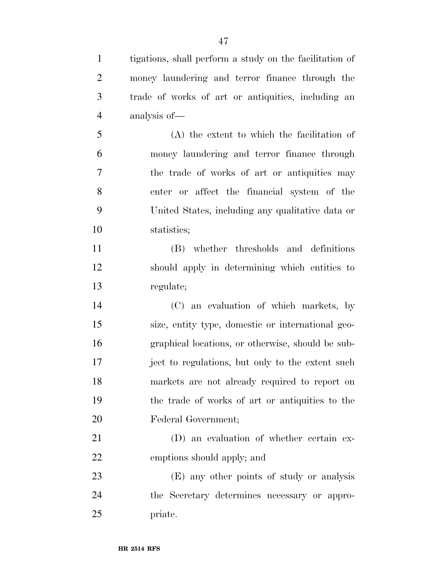tigations, shall perform a study on the facilitation of money laundering and terror finance through the trade of works of art or antiquities, including an analysis of— (A) the extent to which the facilitation of money laundering and terror finance through the trade of works of art or antiquities may enter or affect the financial system of the United States, including any qualitative data or statistics; (B) whether thresholds and definitions should apply in determining which entities to regulate; (C) an evaluation of which markets, by size, entity type, domestic or international geo- graphical locations, or otherwise, should be sub- ject to regulations, but only to the extent such markets are not already required to report on the trade of works of art or antiquities to the Federal Government; (D) an evaluation of whether certain ex- emptions should apply; and (E) any other points of study or analysis the Secretary determines necessary or appro-

priate.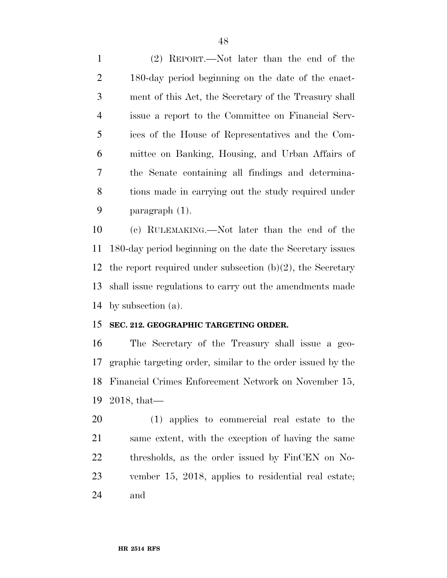(2) REPORT.—Not later than the end of the 180-day period beginning on the date of the enact- ment of this Act, the Secretary of the Treasury shall issue a report to the Committee on Financial Serv- ices of the House of Representatives and the Com- mittee on Banking, Housing, and Urban Affairs of the Senate containing all findings and determina- tions made in carrying out the study required under paragraph (1).

 (c) RULEMAKING.—Not later than the end of the 180-day period beginning on the date the Secretary issues the report required under subsection (b)(2), the Secretary shall issue regulations to carry out the amendments made by subsection (a).

## **SEC. 212. GEOGRAPHIC TARGETING ORDER.**

 The Secretary of the Treasury shall issue a geo- graphic targeting order, similar to the order issued by the Financial Crimes Enforcement Network on November 15, 2018, that—

 (1) applies to commercial real estate to the same extent, with the exception of having the same thresholds, as the order issued by FinCEN on No- vember 15, 2018, applies to residential real estate; and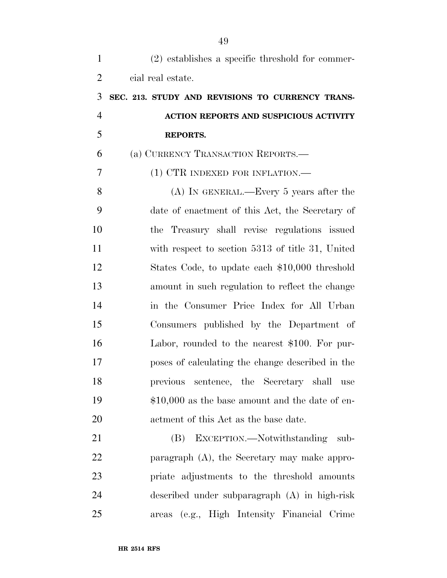| $\mathbf{1}$   | $(2)$ establishes a specific threshold for commer- |
|----------------|----------------------------------------------------|
| $\overline{2}$ | cial real estate.                                  |
| 3              | SEC. 213. STUDY AND REVISIONS TO CURRENCY TRANS-   |
| $\overline{4}$ | ACTION REPORTS AND SUSPICIOUS ACTIVITY             |
| 5              | <b>REPORTS.</b>                                    |
| 6              | (a) CURRENCY TRANSACTION REPORTS.—                 |
| 7              | (1) CTR INDEXED FOR INFLATION.—                    |
| 8              | $(A)$ In GENERAL.—Every 5 years after the          |
| 9              | date of enactment of this Act, the Secretary of    |
| 10             | the Treasury shall revise regulations issued       |
| 11             | with respect to section 5313 of title 31, United   |
| 12             | States Code, to update each \$10,000 threshold     |
| 13             | amount in such regulation to reflect the change    |
| 14             | in the Consumer Price Index for All Urban          |
| 15             | Consumers published by the Department of           |
| 16             | Labor, rounded to the nearest \$100. For pur-      |
| 17             | poses of calculating the change described in the   |
| 18             | previous sentence, the Secretary shall<br>use      |
| 19             | $$10,000$ as the base amount and the date of en-   |
| 20             | actment of this Act as the base date.              |
| 21             | (B) EXCEPTION.—Notwithstanding<br>sub-             |
| 22             | paragraph $(A)$ , the Secretary may make appro-    |
| 23             | priate adjustments to the threshold amounts        |
| 24             | described under subparagraph (A) in high-risk      |
| 25             | areas (e.g., High Intensity Financial Crime        |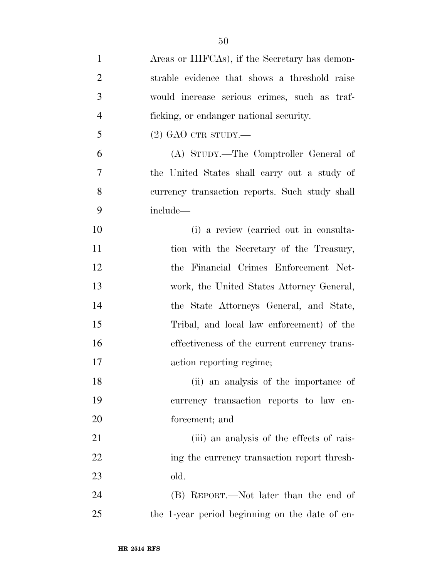| $\mathbf{1}$   | Areas or HIFCAs), if the Secretary has demon-  |
|----------------|------------------------------------------------|
| $\overline{2}$ | strable evidence that shows a threshold raise  |
| 3              | would increase serious crimes, such as traf-   |
| $\overline{4}$ | ficking, or endanger national security.        |
| 5              | $(2)$ GAO CTR STUDY.—                          |
| 6              | (A) STUDY.—The Comptroller General of          |
| 7              | the United States shall carry out a study of   |
| 8              | currency transaction reports. Such study shall |
| 9              | include—                                       |
| 10             | (i) a review (carried out in consulta-         |
| 11             | tion with the Secretary of the Treasury,       |
| 12             | the Financial Crimes Enforcement Net-          |
| 13             | work, the United States Attorney General,      |
| 14             | the State Attorneys General, and State,        |
| 15             | Tribal, and local law enforcement) of the      |
| 16             | effectiveness of the current currency trans-   |
| 17             | action reporting regime;                       |
| 18             | (ii) an analysis of the importance of          |
| 19             | currency transaction reports to law en-        |
| 20             | forcement; and                                 |
| 21             | (iii) an analysis of the effects of rais-      |
| 22             | ing the currency transaction report thresh-    |
| 23             | old.                                           |
| 24             | (B) REPORT.—Not later than the end of          |
| 25             | the 1-year period beginning on the date of en- |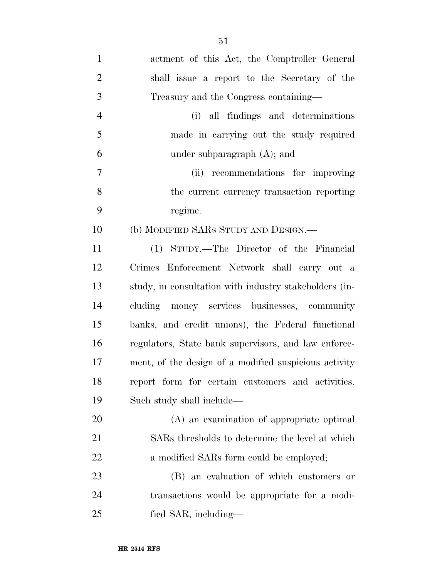| $\mathbf{1}$   | actment of this Act, the Comptroller General           |
|----------------|--------------------------------------------------------|
| $\overline{2}$ | shall issue a report to the Secretary of the           |
| 3              | Treasury and the Congress containing-                  |
| $\overline{4}$ | (i) all findings and determinations                    |
| 5              | made in carrying out the study required                |
| 6              | under subparagraph $(A)$ ; and                         |
| 7              | (ii) recommendations for improving                     |
| 8              | the current currency transaction reporting             |
| 9              | regime.                                                |
| 10             | (b) MODIFIED SARS STUDY AND DESIGN.—                   |
| 11             | (1) STUDY.—The Director of the Financial               |
| 12             | Crimes Enforcement Network shall carry out a           |
| 13             | study, in consultation with industry stakeholders (in- |
| 14             | cluding money services businesses, community           |
| 15             | banks, and credit unions), the Federal functional      |
| 16             | regulators, State bank supervisors, and law enforce-   |
| 17             | ment, of the design of a modified suspicious activity  |
| 18             | report form for certain customers and activities.      |
| 19             | Such study shall include—                              |
| 20             | (A) an examination of appropriate optimal              |
| 21             | SARs thresholds to determine the level at which        |
| 22             | a modified SARs form could be employed;                |
| 23             | (B) an evaluation of which customers or                |
|                |                                                        |

 transactions would be appropriate for a modi-fied SAR, including—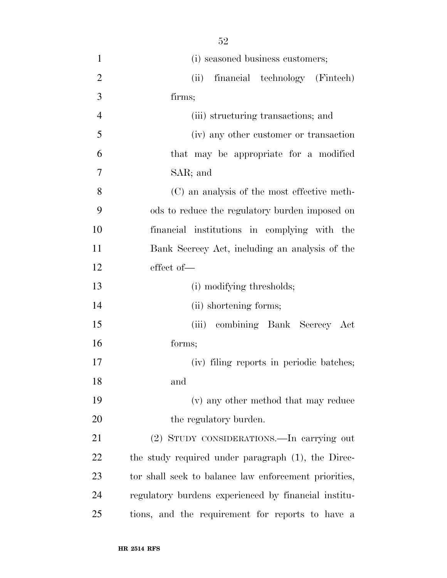| $\mathbf{1}$   | (i) seasoned business customers;                      |
|----------------|-------------------------------------------------------|
| $\overline{2}$ | (ii)<br>financial technology (Fintech)                |
| 3              | firms;                                                |
| $\overline{4}$ | (iii) structuring transactions; and                   |
| 5              | (iv) any other customer or transaction                |
| 6              | that may be appropriate for a modified                |
| 7              | SAR; and                                              |
| 8              | (C) an analysis of the most effective meth-           |
| 9              | ods to reduce the regulatory burden imposed on        |
| 10             | financial institutions in complying with the          |
| 11             | Bank Secrecy Act, including an analysis of the        |
| 12             | effect of-                                            |
| 13             | (i) modifying thresholds;                             |
| 14             | (ii) shortening forms;                                |
| 15             | (iii) combining Bank Secrecy Act                      |
| 16             | forms;                                                |
| 17             | (iv) filing reports in periodic batches;              |
| 18             | and                                                   |
| 19             | (v) any other method that may reduce                  |
| 20             | the regulatory burden.                                |
| 21             | (2) STUDY CONSIDERATIONS.—In carrying out             |
| 22             | the study required under paragraph (1), the Direc-    |
| 23             | tor shall seek to balance law enforcement priorities, |
| 24             | regulatory burdens experienced by financial institu-  |
| 25             | tions, and the requirement for reports to have a      |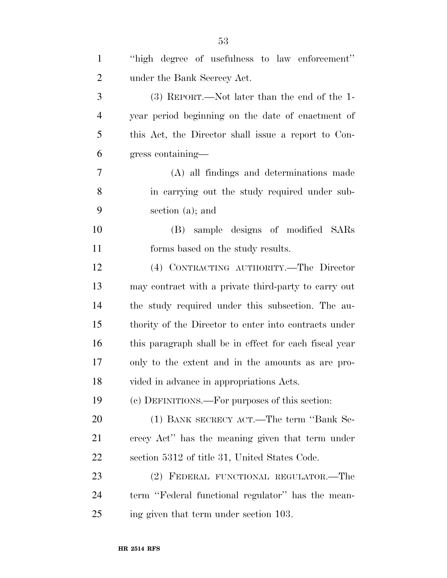| $\mathbf{1}$   | "high degree of usefulness to law enforcement"         |
|----------------|--------------------------------------------------------|
| $\overline{2}$ | under the Bank Secrecy Act.                            |
| 3              | $(3)$ REPORT.—Not later than the end of the 1-         |
| $\overline{4}$ | year period beginning on the date of enactment of      |
| 5              | this Act, the Director shall issue a report to Con-    |
| 6              | gress containing—                                      |
| 7              | (A) all findings and determinations made               |
| 8              | in carrying out the study required under sub-          |
| 9              | section $(a)$ ; and                                    |
| 10             | (B) sample designs of modified SARs                    |
| 11             | forms based on the study results.                      |
| 12             | (4) CONTRACTING AUTHORITY.—The Director                |
| 13             | may contract with a private third-party to carry out   |
| 14             | the study required under this subsection. The au-      |
| 15             | thority of the Director to enter into contracts under  |
| 16             | this paragraph shall be in effect for each fiscal year |
| 17             | only to the extent and in the amounts as are pro-      |
| 18             | vided in advance in appropriations Acts.               |
| 19             | (c) DEFINITIONS.—For purposes of this section:         |
| 20             | (1) BANK SECRECY ACT.—The term "Bank Se-               |
| 21             | crecy Act" has the meaning given that term under       |
| 22             | section 5312 of title 31, United States Code.          |
| 23             | (2) FEDERAL FUNCTIONAL REGULATOR.-The                  |
| 24             | term "Federal functional regulator" has the mean-      |
| 25             | ing given that term under section 103.                 |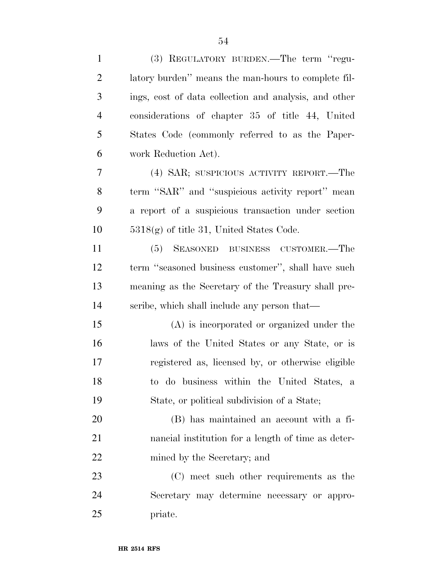| $\mathbf{1}$   | (3) REGULATORY BURDEN.—The term "regu-                |
|----------------|-------------------------------------------------------|
| $\overline{2}$ | latory burden" means the man-hours to complete fil-   |
| 3              | ings, cost of data collection and analysis, and other |
| $\overline{4}$ | considerations of chapter 35 of title 44, United      |
| 5              | States Code (commonly referred to as the Paper-       |
| 6              | work Reduction Act).                                  |
| 7              | (4) SAR; SUSPICIOUS ACTIVITY REPORT.—The              |
| 8              | term "SAR" and "suspicious activity report" mean      |
| 9              | a report of a suspicious transaction under section    |
| 10             | $5318(g)$ of title 31, United States Code.            |
| 11             | (5) SEASONED BUSINESS CUSTOMER.—The                   |
| 12             | term "seasoned business customer", shall have such    |
| 13             | meaning as the Secretary of the Treasury shall pre-   |
| 14             | scribe, which shall include any person that—          |
| 15             | $(A)$ is incorporated or organized under the          |
| 16             | laws of the United States or any State, or is         |
| 17             | registered as, licensed by, or otherwise eligible     |
| 18             | to do business within the United States, a            |
| 19             | State, or political subdivision of a State;           |
| 20             | (B) has maintained an account with a fi-              |
| 21             | nancial institution for a length of time as deter-    |
| 22             | mined by the Secretary; and                           |
| 23             | (C) meet such other requirements as the               |
| 24             | Secretary may determine necessary or appro-           |
| 25             | priate.                                               |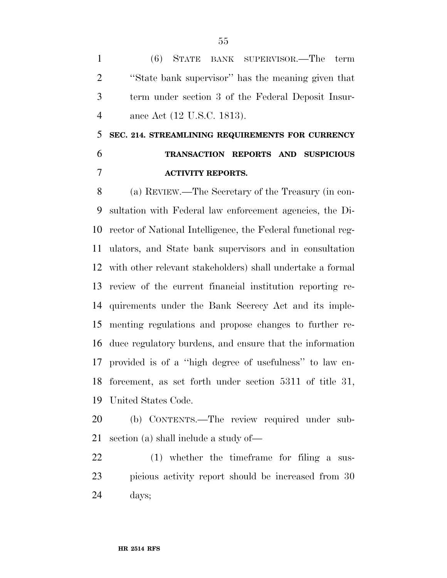(6) STATE BANK SUPERVISOR.—The term ''State bank supervisor'' has the meaning given that term under section 3 of the Federal Deposit Insur-ance Act (12 U.S.C. 1813).

# **SEC. 214. STREAMLINING REQUIREMENTS FOR CURRENCY TRANSACTION REPORTS AND SUSPICIOUS ACTIVITY REPORTS.**

 (a) REVIEW.—The Secretary of the Treasury (in con- sultation with Federal law enforcement agencies, the Di- rector of National Intelligence, the Federal functional reg- ulators, and State bank supervisors and in consultation with other relevant stakeholders) shall undertake a formal review of the current financial institution reporting re- quirements under the Bank Secrecy Act and its imple- menting regulations and propose changes to further re- duce regulatory burdens, and ensure that the information provided is of a ''high degree of usefulness'' to law en- forcement, as set forth under section 5311 of title 31, United States Code.

 (b) CONTENTS.—The review required under sub-section (a) shall include a study of—

 (1) whether the timeframe for filing a sus- picious activity report should be increased from 30 days;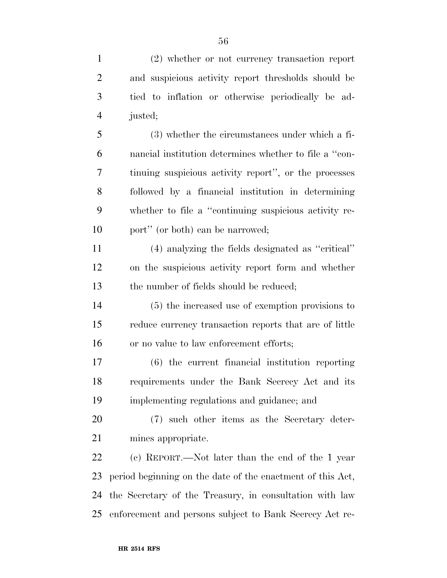| $\mathbf{1}$   | $(2)$ whether or not currency transaction report           |
|----------------|------------------------------------------------------------|
| $\overline{2}$ | and suspicious activity report thresholds should be        |
| 3              | tied to inflation or otherwise periodically be ad-         |
| $\overline{4}$ | justed;                                                    |
| 5              | (3) whether the circumstances under which a fi-            |
| 6              | nancial institution determines whether to file a "con-     |
| 7              | tinuing suspicious activity report", or the processes      |
| 8              | followed by a financial institution in determining         |
| 9              | whether to file a "continuing suspicious activity re-      |
| 10             | port" (or both) can be narrowed;                           |
| 11             | (4) analyzing the fields designated as "critical"          |
| 12             | on the suspicious activity report form and whether         |
| 13             | the number of fields should be reduced;                    |
| 14             | (5) the increased use of exemption provisions to           |
| 15             | reduce currency transaction reports that are of little     |
| 16             | or no value to law enforcement efforts;                    |
| 17             | (6) the current financial institution reporting            |
| 18             | requirements under the Bank Secrecy Act and its            |
| 19             | implementing regulations and guidance; and                 |
| 20             | (7) such other items as the Secretary deter-               |
| 21             | mines appropriate.                                         |
| 22             | (c) REPORT.—Not later than the end of the 1 year           |
| 23             | period beginning on the date of the enactment of this Act, |
| 24             | the Secretary of the Treasury, in consultation with law    |
| 25             | enforcement and persons subject to Bank Secrecy Act re-    |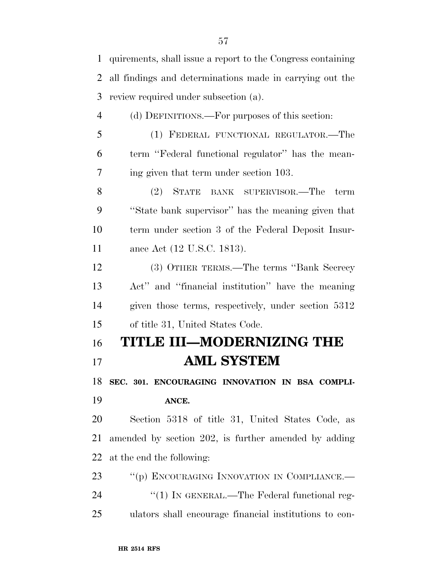| $\mathbf{1}$   | quirements, shall issue a report to the Congress containing |
|----------------|-------------------------------------------------------------|
| 2              | all findings and determinations made in carrying out the    |
| 3              | review required under subsection (a).                       |
| $\overline{4}$ | (d) DEFINITIONS.—For purposes of this section:              |
| 5              | (1) FEDERAL FUNCTIONAL REGULATOR.—The                       |
| 6              | term "Federal functional regulator" has the mean-           |
| 7              | ing given that term under section 103.                      |
| 8              | $(2)$ STATE<br>BANK SUPERVISOR.—The<br>term                 |
| 9              | "State bank supervisor" has the meaning given that          |
| 10             | term under section 3 of the Federal Deposit Insur-          |
| 11             | ance Act (12 U.S.C. 1813).                                  |
| 12             | (3) OTHER TERMS.—The terms "Bank Secrecy"                   |
| 13             | Act" and "financial institution" have the meaning           |
| 14             | given those terms, respectively, under section 5312         |
| 15             | of title 31, United States Code.                            |
| 16             | <b>TITLE III-MODERNIZING THE</b>                            |
| 17             | <b>AML SYSTEM</b>                                           |
| 18             | SEC. 301. ENCOURAGING INNOVATION IN BSA COMPLI-             |
| 19             | ANCE.                                                       |
| 20             | Section 5318 of title 31, United States Code, as            |
| 21             | amended by section 202, is further amended by adding        |
| 22             | at the end the following:                                   |
| 23             | "(p) ENCOURAGING INNOVATION IN COMPLIANCE.—                 |
| 24             | $\lq(1)$ In GENERAL.—The Federal functional reg-            |
| 25             | ulators shall encourage financial institutions to con-      |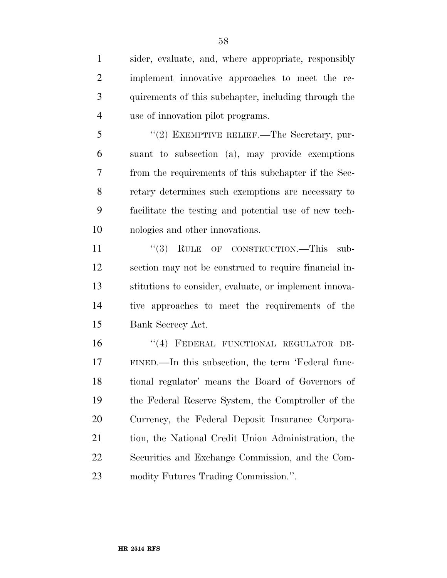sider, evaluate, and, where appropriate, responsibly implement innovative approaches to meet the re- quirements of this subchapter, including through the use of innovation pilot programs.

5 "(2) EXEMPTIVE RELIEF.—The Secretary, pur- suant to subsection (a), may provide exemptions from the requirements of this subchapter if the Sec- retary determines such exemptions are necessary to facilitate the testing and potential use of new tech-nologies and other innovations.

11 "(3) RULE OF CONSTRUCTION.—This sub- section may not be construed to require financial in- stitutions to consider, evaluate, or implement innova- tive approaches to meet the requirements of the Bank Secrecy Act.

16 "(4) FEDERAL FUNCTIONAL REGULATOR DE- FINED.—In this subsection, the term 'Federal func- tional regulator' means the Board of Governors of the Federal Reserve System, the Comptroller of the Currency, the Federal Deposit Insurance Corpora-21 tion, the National Credit Union Administration, the Securities and Exchange Commission, and the Com-modity Futures Trading Commission.''.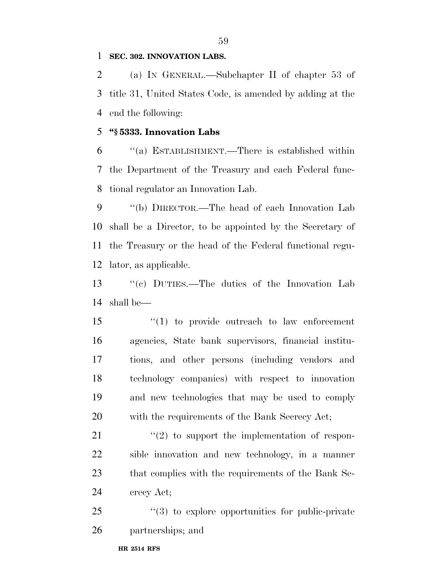### **SEC. 302. INNOVATION LABS.**

 (a) IN GENERAL.—Subchapter II of chapter 53 of title 31, United States Code, is amended by adding at the end the following:

### **''§ 5333. Innovation Labs**

 ''(a) ESTABLISHMENT.—There is established within the Department of the Treasury and each Federal func-tional regulator an Innovation Lab.

 ''(b) DIRECTOR.—The head of each Innovation Lab shall be a Director, to be appointed by the Secretary of the Treasury or the head of the Federal functional regu-lator, as applicable.

 ''(c) DUTIES.—The duties of the Innovation Lab shall be—

 ''(1) to provide outreach to law enforcement agencies, State bank supervisors, financial institu- tions, and other persons (including vendors and technology companies) with respect to innovation and new technologies that may be used to comply with the requirements of the Bank Secrecy Act;

 $\frac{u(2)}{2}$  to support the implementation of respon- sible innovation and new technology, in a manner that complies with the requirements of the Bank Se-crecy Act;

25 "(3) to explore opportunities for public-private partnerships; and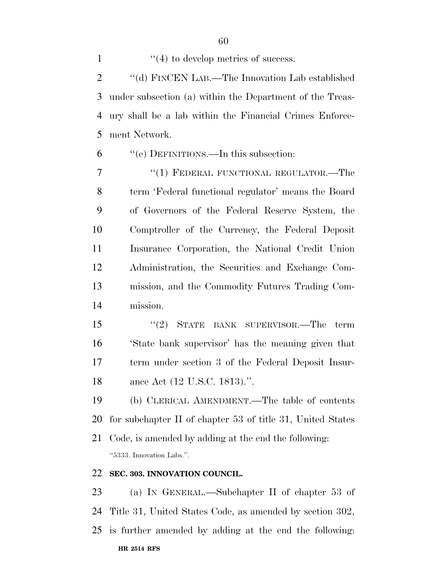$\frac{1}{2}$  to develop metrics of success. 2 "(d) FINCEN LAB.—The Innovation Lab established under subsection (a) within the Department of the Treas- ury shall be a lab within the Financial Crimes Enforce-ment Network.

''(e) DEFINITIONS.—In this subsection:

7 "(1) FEDERAL FUNCTIONAL REGULATOR.—The term 'Federal functional regulator' means the Board of Governors of the Federal Reserve System, the Comptroller of the Currency, the Federal Deposit Insurance Corporation, the National Credit Union Administration, the Securities and Exchange Com- mission, and the Commodity Futures Trading Com-mission.

 ''(2) STATE BANK SUPERVISOR.—The term 'State bank supervisor' has the meaning given that term under section 3 of the Federal Deposit Insur-ance Act (12 U.S.C. 1813).''.

 (b) CLERICAL AMENDMENT.—The table of contents for subchapter II of chapter 53 of title 31, United States

 Code, is amended by adding at the end the following: ''5333. Innovation Labs.''.

## **SEC. 303. INNOVATION COUNCIL.**

 (a) IN GENERAL.—Subchapter II of chapter 53 of Title 31, United States Code, as amended by section 302,

**HR 2514 RFS** is further amended by adding at the end the following: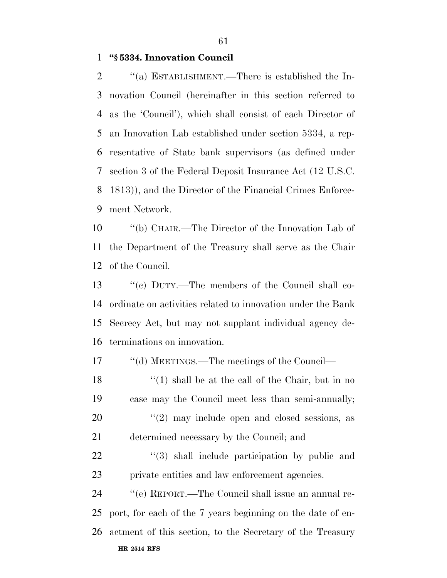**''§ 5334. Innovation Council** 

 $\cdot$  "(a) ESTABLISHMENT.—There is established the In- novation Council (hereinafter in this section referred to as the 'Council'), which shall consist of each Director of an Innovation Lab established under section 5334, a rep- resentative of State bank supervisors (as defined under section 3 of the Federal Deposit Insurance Act (12 U.S.C. 1813)), and the Director of the Financial Crimes Enforce-ment Network.

 ''(b) CHAIR.—The Director of the Innovation Lab of the Department of the Treasury shall serve as the Chair of the Council.

 ''(c) DUTY.—The members of the Council shall co- ordinate on activities related to innovation under the Bank Secrecy Act, but may not supplant individual agency de-terminations on innovation.

17 ''(d) MEETINGS.—The meetings of the Council—

18 ''(1) shall be at the call of the Chair, but in no case may the Council meet less than semi-annually;  $\frac{1}{2}$  may include open and closed sessions, as determined necessary by the Council; and

22 ''(3) shall include participation by public and private entities and law enforcement agencies.

**HR 2514 RFS** ''(e) REPORT.—The Council shall issue an annual re- port, for each of the 7 years beginning on the date of en-actment of this section, to the Secretary of the Treasury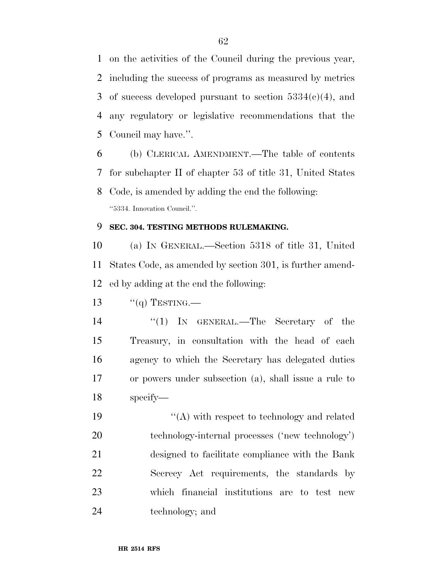on the activities of the Council during the previous year, including the success of programs as measured by metrics 3 of success developed pursuant to section  $5334(c)(4)$ , and any regulatory or legislative recommendations that the Council may have.''.

 (b) CLERICAL AMENDMENT.—The table of contents for subchapter II of chapter 53 of title 31, United States Code, is amended by adding the end the following: ''5334. Innovation Council.''.

### **SEC. 304. TESTING METHODS RULEMAKING.**

 (a) IN GENERAL.—Section 5318 of title 31, United States Code, as amended by section 301, is further amend-ed by adding at the end the following:

13  $\frac{1}{q}$  TESTING.

 ''(1) IN GENERAL.—The Secretary of the Treasury, in consultation with the head of each agency to which the Secretary has delegated duties or powers under subsection (a), shall issue a rule to specify—

19 ''(A) with respect to technology and related technology-internal processes ('new technology') designed to facilitate compliance with the Bank Secrecy Act requirements, the standards by which financial institutions are to test new technology; and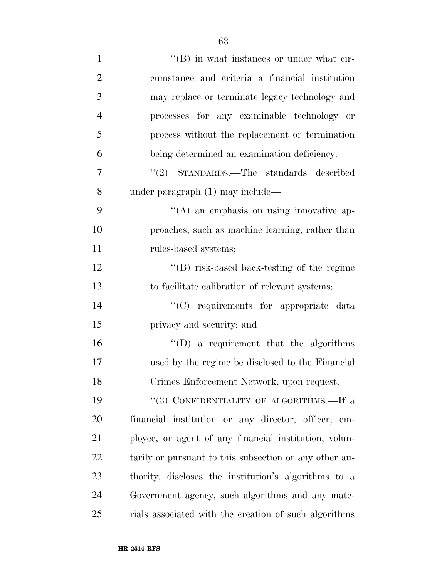| $\mathbf{1}$   | $\lq\lq (B)$ in what instances or under what cir-      |
|----------------|--------------------------------------------------------|
| $\overline{2}$ | cumstance and criteria a financial institution         |
| 3              | may replace or terminate legacy technology and         |
| $\overline{4}$ | processes for any examinable technology or             |
| 5              | process without the replacement or termination         |
| 6              | being determined an examination deficiency.            |
| 7              | "(2) STANDARDS.—The standards described                |
| 8              | under paragraph (1) may include—                       |
| 9              | $\lq\lq$ an emphasis on using innovative ap-           |
| 10             | proaches, such as machine learning, rather than        |
| 11             | rules-based systems;                                   |
| 12             | $\lq\lq$ risk-based back-testing of the regime         |
| 13             | to facilitate calibration of relevant systems;         |
| 14             | "(C) requirements for appropriate data                 |
| 15             | privacy and security; and                              |
| 16             | $\lq\lq$ a requirement that the algorithms             |
| 17             | used by the regime be disclosed to the Financial       |
| 18             | Crimes Enforcement Network, upon request.              |
| 19             | "(3) CONFIDENTIALITY OF ALGORITHMS.—If a               |
| 20             | financial institution or any director, officer, em-    |
| 21             | ployee, or agent of any financial institution, volun-  |
| 22             | tarily or pursuant to this subsection or any other au- |
| 23             | thority, discloses the institution's algorithms to a   |
| 24             | Government agency, such algorithms and any mate-       |
| 25             | rials associated with the creation of such algorithms  |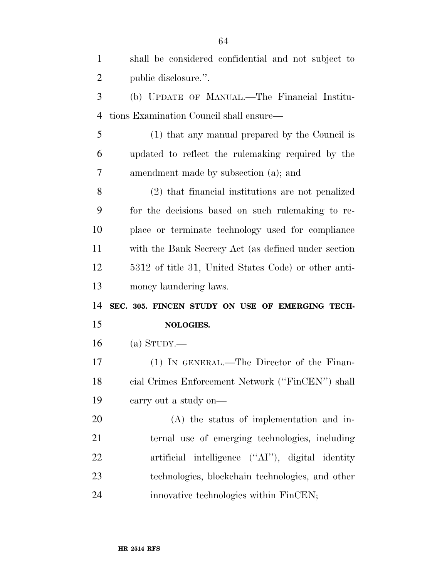| $\mathbf{1}$   | shall be considered confidential and not subject to  |
|----------------|------------------------------------------------------|
| $\overline{2}$ | public disclosure.".                                 |
| 3              | (b) UPDATE OF MANUAL.—The Financial Institu-         |
| $\overline{4}$ | tions Examination Council shall ensure—              |
| 5              | (1) that any manual prepared by the Council is       |
| 6              | updated to reflect the rulemaking required by the    |
| 7              | amendment made by subsection (a); and                |
| 8              | (2) that financial institutions are not penalized    |
| 9              | for the decisions based on such rulemaking to re-    |
| 10             | place or terminate technology used for compliance    |
| 11             | with the Bank Secrecy Act (as defined under section  |
| 12             | 5312 of title 31, United States Code) or other anti- |
|                |                                                      |
| 13             | money laundering laws.                               |
| 14             | SEC. 305. FINCEN STUDY ON USE OF EMERGING TECH-      |
| 15             | NOLOGIES.                                            |
| 16             | (a) $S_{TUDY}$ .                                     |
| 17             | (1) IN GENERAL.—The Director of the Finan-           |
| 18             | cial Crimes Enforcement Network ("FinCEN") shall     |
| 19             | carry out a study on—                                |
| 20             | $(A)$ the status of implementation and in-           |
| 21             | ternal use of emerging technologies, including       |
| 22             | artificial intelligence ("AI"), digital identity     |
| 23             | technologies, blockchain technologies, and other     |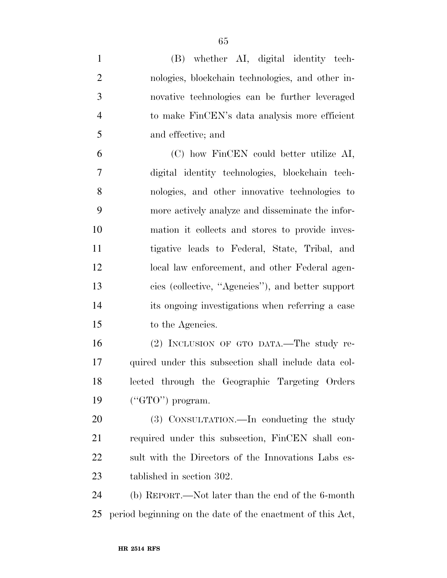| $\mathbf{1}$   | (B) whether AI, digital identity tech-                     |
|----------------|------------------------------------------------------------|
| $\overline{2}$ | nologies, blockchain technologies, and other in-           |
| 3              | novative technologies can be further leveraged             |
| $\overline{4}$ | to make FinCEN's data analysis more efficient              |
| 5              | and effective; and                                         |
| 6              | (C) how FinCEN could better utilize AI,                    |
| $\overline{7}$ | digital identity technologies, blockchain tech-            |
| 8              | nologies, and other innovative technologies to             |
| 9              | more actively analyze and disseminate the infor-           |
| 10             | mation it collects and stores to provide inves-            |
| 11             | tigative leads to Federal, State, Tribal, and              |
| 12             | local law enforcement, and other Federal agen-             |
| 13             | cies (collective, "Agencies"), and better support          |
| 14             | its ongoing investigations when referring a case           |
| 15             | to the Agencies.                                           |
| 16             | (2) INCLUSION OF GTO DATA.—The study re-                   |
| 17             | quired under this subsection shall include data col-       |
| 18             | lected through the Geographic Targeting Orders             |
| 19             | $("GTO")$ program.                                         |
| 20             | (3) CONSULTATION.—In conducting the study                  |
| 21             | required under this subsection, FinCEN shall con-          |
| 22             | sult with the Directors of the Innovations Labs es-        |
| 23             | tablished in section 302.                                  |
| 24             | (b) REPORT.—Not later than the end of the 6-month          |
| 25             | period beginning on the date of the enactment of this Act, |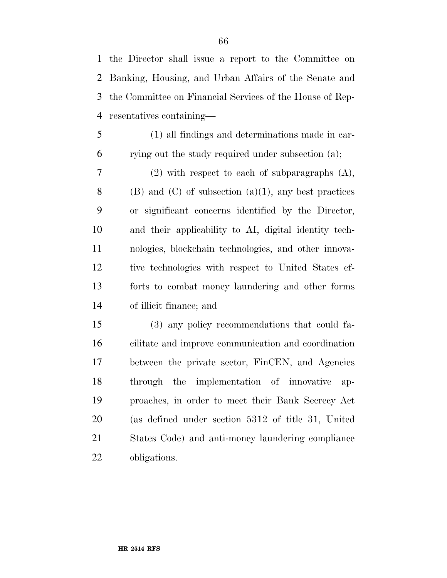the Director shall issue a report to the Committee on Banking, Housing, and Urban Affairs of the Senate and the Committee on Financial Services of the House of Rep-resentatives containing—

 (1) all findings and determinations made in car-rying out the study required under subsection (a);

 (2) with respect to each of subparagraphs (A), 8 (B) and (C) of subsection (a)(1), any best practices or significant concerns identified by the Director, and their applicability to AI, digital identity tech- nologies, blockchain technologies, and other innova- tive technologies with respect to United States ef- forts to combat money laundering and other forms of illicit finance; and

 (3) any policy recommendations that could fa- cilitate and improve communication and coordination between the private sector, FinCEN, and Agencies through the implementation of innovative ap- proaches, in order to meet their Bank Secrecy Act (as defined under section 5312 of title 31, United States Code) and anti-money laundering compliance obligations.